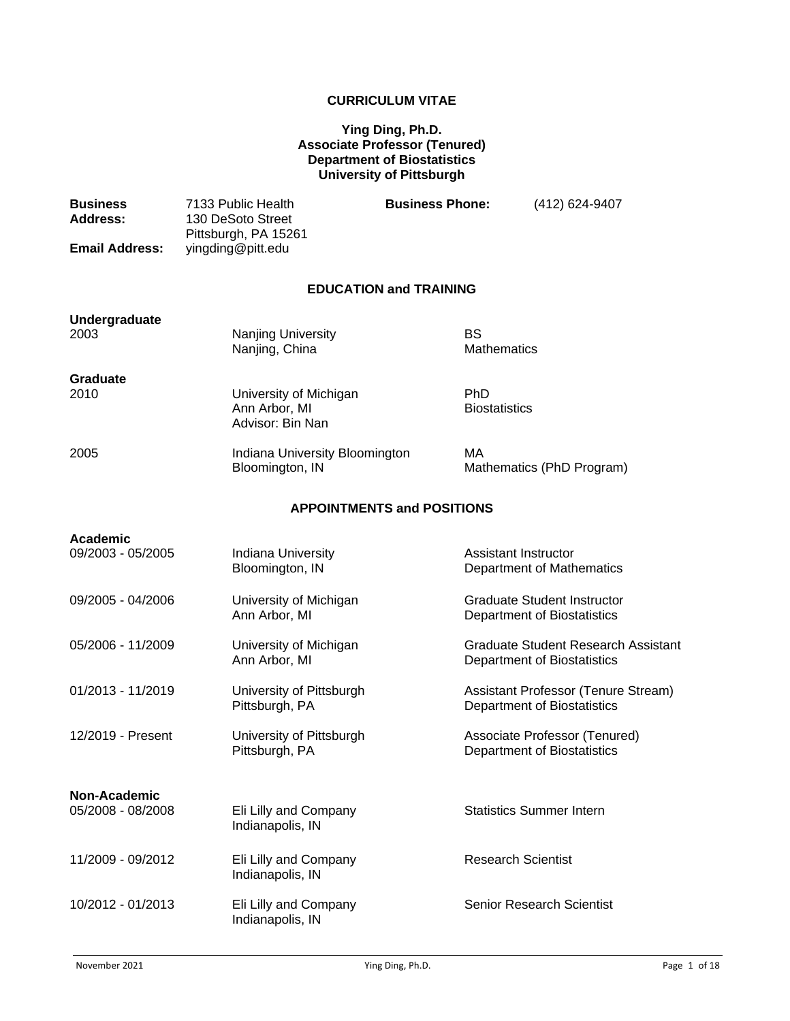## **CURRICULUM VITAE**

## **Ying Ding, Ph.D. Associate Professor (Tenured) Department of Biostatistics University of Pittsburgh**

| <b>Business</b><br><b>Address:</b> | 7133 Public Health<br>130 DeSoto Street<br>Pittsburgh, PA 15261 | <b>Business Phone:</b>             | (412) 624-9407                                                            |
|------------------------------------|-----------------------------------------------------------------|------------------------------------|---------------------------------------------------------------------------|
| <b>Email Address:</b>              | yingding@pitt.edu                                               |                                    |                                                                           |
|                                    |                                                                 | <b>EDUCATION and TRAINING</b>      |                                                                           |
| <b>Undergraduate</b><br>2003       | Nanjing University<br>Nanjing, China                            | <b>BS</b><br><b>Mathematics</b>    |                                                                           |
| <b>Graduate</b><br>2010            | University of Michigan<br>Ann Arbor, MI<br>Advisor: Bin Nan     | <b>PhD</b><br><b>Biostatistics</b> |                                                                           |
| 2005                               | Indiana University Bloomington<br>Bloomington, IN               | МA                                 | Mathematics (PhD Program)                                                 |
| <b>APPOINTMENTS and POSITIONS</b>  |                                                                 |                                    |                                                                           |
| <b>Academic</b>                    |                                                                 |                                    |                                                                           |
| 09/2003 - 05/2005                  | Indiana University<br>Bloomington, IN                           | Assistant Instructor               | Department of Mathematics                                                 |
| 09/2005 - 04/2006                  | University of Michigan<br>Ann Arbor, MI                         |                                    | <b>Graduate Student Instructor</b><br><b>Department of Biostatistics</b>  |
| 05/2006 - 11/2009                  | University of Michigan<br>Ann Arbor, MI                         |                                    | <b>Graduate Student Research Assistant</b><br>Department of Biostatistics |
| 01/2013 - 11/2019                  | University of Pittsburgh<br>Pittsburgh, PA                      |                                    | Assistant Professor (Tenure Stream)<br><b>Department of Biostatistics</b> |
| 12/2019 - Present                  | University of Pittsburgh<br>Pittsburgh, PA                      |                                    | Associate Professor (Tenured)<br><b>Department of Biostatistics</b>       |
| Non-Academic                       |                                                                 |                                    |                                                                           |
| 05/2008 - 08/2008                  | Eli Lilly and Company<br>Indianapolis, IN                       |                                    | <b>Statistics Summer Intern</b>                                           |
| 11/2009 - 09/2012                  | Eli Lilly and Company<br>Indianapolis, IN                       | <b>Research Scientist</b>          |                                                                           |
| 10/2012 - 01/2013                  | Eli Lilly and Company<br>Indianapolis, IN                       |                                    | <b>Senior Research Scientist</b>                                          |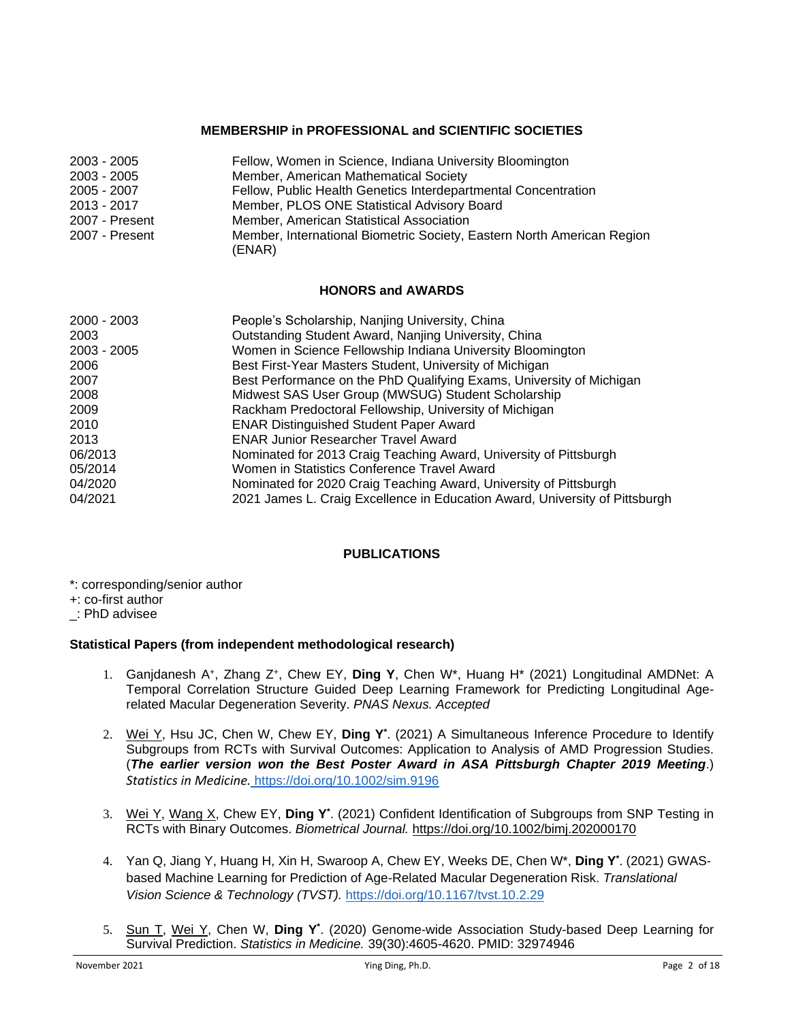## **MEMBERSHIP in PROFESSIONAL and SCIENTIFIC SOCIETIES**

| $2003 - 2005$  | Fellow, Women in Science, Indiana University Bloomington                         |
|----------------|----------------------------------------------------------------------------------|
| $2003 - 2005$  | Member, American Mathematical Society                                            |
| 2005 - 2007    | Fellow, Public Health Genetics Interdepartmental Concentration                   |
| 2013 - 2017    | Member, PLOS ONE Statistical Advisory Board                                      |
| 2007 - Present | Member, American Statistical Association                                         |
| 2007 - Present | Member, International Biometric Society, Eastern North American Region<br>(ENAR) |

## **HONORS and AWARDS**

| $2000 - 2003$ | People's Scholarship, Nanjing University, China                             |
|---------------|-----------------------------------------------------------------------------|
| 2003          | Outstanding Student Award, Nanjing University, China                        |
| $2003 - 2005$ | Women in Science Fellowship Indiana University Bloomington                  |
| 2006          | Best First-Year Masters Student, University of Michigan                     |
| 2007          | Best Performance on the PhD Qualifying Exams, University of Michigan        |
| 2008          | Midwest SAS User Group (MWSUG) Student Scholarship                          |
| 2009          | Rackham Predoctoral Fellowship, University of Michigan                      |
| 2010          | <b>ENAR Distinguished Student Paper Award</b>                               |
| 2013          | <b>ENAR Junior Researcher Travel Award</b>                                  |
| 06/2013       | Nominated for 2013 Craig Teaching Award, University of Pittsburgh           |
| 05/2014       | Women in Statistics Conference Travel Award                                 |
| 04/2020       | Nominated for 2020 Craig Teaching Award, University of Pittsburgh           |
| 04/2021       | 2021 James L. Craig Excellence in Education Award, University of Pittsburgh |

## **PUBLICATIONS**

- \*: corresponding/senior author
- +: co-first author
- \_: PhD advisee

## **Statistical Papers (from independent methodological research)**

- 1. Ganjdanesh A<sup>+</sup>, Zhang Z<sup>+</sup>, Chew EY, Ding Y, Chen W<sup>\*</sup>, Huang H<sup>\*</sup> (2021) Longitudinal AMDNet: A Temporal Correlation Structure Guided Deep Learning Framework for Predicting Longitudinal Agerelated Macular Degeneration Severity. *PNAS Nexus. Accepted*
- 2. Wei Y, Hsu JC, Chen W, Chew EY, **Ding Y\*** . (2021) A Simultaneous Inference Procedure to Identify Subgroups from RCTs with Survival Outcomes: Application to Analysis of AMD Progression Studies. (*The earlier version won the Best Poster Award in ASA Pittsburgh Chapter 2019 Meeting*.) *Statistics in Medicine.* <https://doi.org/10.1002/sim.9196>
- 3. Wei Y, Wang X, Chew EY, **Ding Y\*** . (2021) Confident Identification of Subgroups from SNP Testing in RCTs with Binary Outcomes. *Biometrical Journal.* https://doi.org/10.1002/bimj.202000170
- 4. Yan Q, Jiang Y, Huang H, Xin H, Swaroop A, Chew EY, Weeks DE, Chen W\*, **Ding Y\*** . (2021) GWASbased Machine Learning for Prediction of Age-Related Macular Degeneration Risk. *Translational Vision Science & Technology (TVST).* <https://doi.org/10.1167/tvst.10.2.29>
- 5. Sun T, Wei Y, Chen W, **Ding Y\*** . (2020) Genome-wide Association Study-based Deep Learning for Survival Prediction. *Statistics in Medicine.* 39(30):4605-4620. PMID: 32974946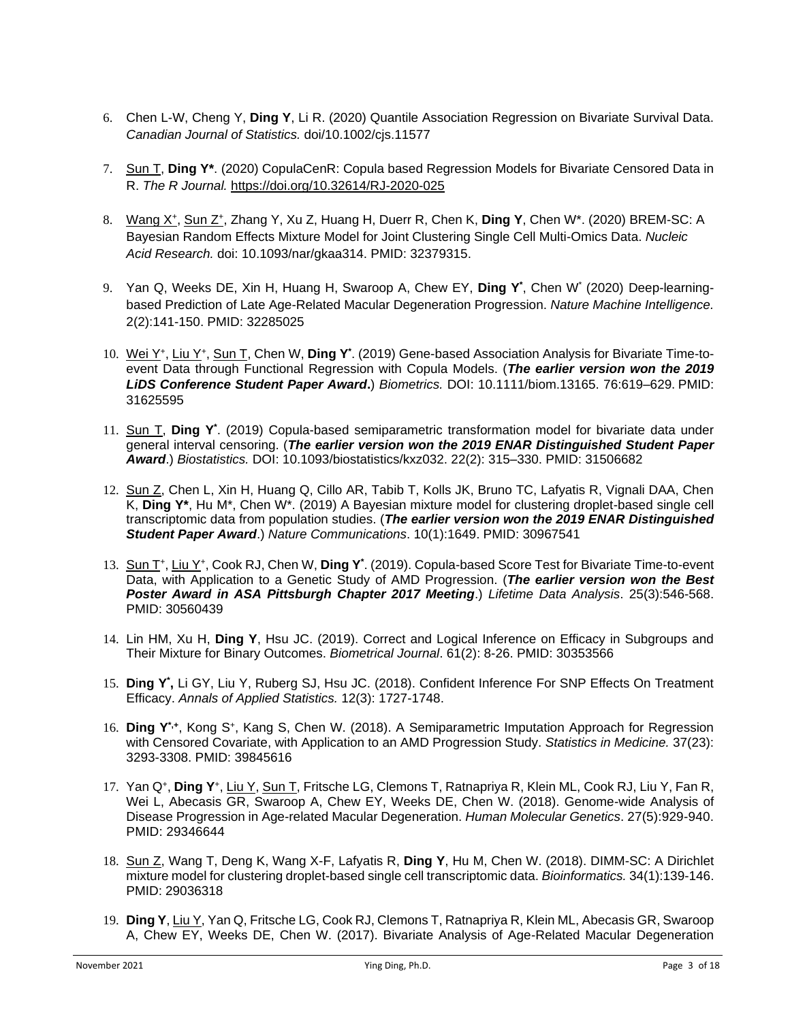- 6. Chen L-W, Cheng Y, **Ding Y**, Li R. (2020) Quantile Association Regression on Bivariate Survival Data. *Canadian Journal of Statistics.* doi/10.1002/cjs.11577
- 7. Sun T, **Ding Y\***. (2020) CopulaCenR: Copula based Regression Models for Bivariate Censored Data in R. *The R Journal.* <https://doi.org/10.32614/RJ-2020-025>
- 8. Wang X<sup>+</sup>, Sun Z<sup>+</sup>, Zhang Y, Xu Z, Huang H, Duerr R, Chen K, Ding Y, Chen W<sup>\*</sup>. (2020) BREM-SC: A Bayesian Random Effects Mixture Model for Joint Clustering Single Cell Multi-Omics Data. *Nucleic Acid Research.* doi: 10.1093/nar/gkaa314. PMID: 32379315.
- 9. Yan Q, Weeks DE, Xin H, Huang H, Swaroop A, Chew EY, **Ding Y\*** , Chen W\* (2020) Deep-learningbased Prediction of Late Age-Related Macular Degeneration Progression. *Nature Machine Intelligence.* 2(2):141-150. PMID: 32285025
- 10. Wei Y<sup>+</sup>, Liu Y<sup>+</sup>, Sun T, Chen W, Ding Y<sup>\*</sup>. (2019) Gene-based Association Analysis for Bivariate Time-toevent Data through Functional Regression with Copula Models. (*The earlier version won the 2019 LiDS Conference Student Paper Award***.**) *Biometrics.* DOI: 10.1111/biom.13165. 76:619–629.PMID: 31625595
- 11. Sun T, **Ding Y\*** . (2019) Copula-based semiparametric transformation model for bivariate data under general interval censoring. (*The earlier version won the 2019 ENAR Distinguished Student Paper Award*.) *Biostatistics.* DOI: 10.1093/biostatistics/kxz032. 22(2): 315–330. PMID: 31506682
- 12. Sun Z, Chen L, Xin H, Huang Q, Cillo AR, Tabib T, Kolls JK, Bruno TC, Lafyatis R, Vignali DAA, Chen K, **Ding Y\***, Hu M\*, Chen W\*. (2019) A Bayesian mixture model for clustering droplet-based single cell transcriptomic data from population studies. (*The earlier version won the 2019 ENAR Distinguished Student Paper Award*.) *Nature Communications*. 10(1):1649. PMID: 30967541
- 13. Sun T<sup>+</sup>, Liu Y<sup>+</sup>, Cook RJ, Chen W, Ding Y<sup>\*</sup>. (2019). Copula-based Score Test for Bivariate Time-to-event Data, with Application to a Genetic Study of AMD Progression. (*The earlier version won the Best Poster Award in ASA Pittsburgh Chapter 2017 Meeting*.) *Lifetime Data Analysis*. 25(3):546-568. PMID: 30560439
- 14. Lin HM, Xu H, **Ding Y**, Hsu JC. (2019). Correct and Logical Inference on Efficacy in Subgroups and Their Mixture for Binary Outcomes. *Biometrical Journal*. 61(2): 8-26. PMID: 30353566
- 15. **D**i**ng Y\* ,** Li GY, Liu Y, Ruberg SJ, Hsu JC. (2018). Confident Inference For SNP Effects On Treatment Efficacy. *Annals of Applied Statistics.* 12(3): 1727-1748.
- 16. Ding Y<sup>\*,+</sup>, Kong S<sup>+</sup>, Kang S, Chen W. (2018). A Semiparametric Imputation Approach for Regression with Censored Covariate, with Application to an AMD Progression Study. *Statistics in Medicine.* 37(23): 3293-3308. PMID: 39845616
- 17. Yan Q<sup>+</sup>, Ding Y<sup>+</sup>, Liu Y, Sun T, Fritsche LG, Clemons T, Ratnapriya R, Klein ML, Cook RJ, Liu Y, Fan R, Wei L, Abecasis GR, Swaroop A, Chew EY, Weeks DE, Chen W. (2018). Genome-wide Analysis of Disease Progression in Age-related Macular Degeneration. *Human Molecular Genetics*. 27(5):929-940. PMID: 29346644
- 18. Sun Z, Wang T, Deng K, Wang X-F, Lafyatis R, **Ding Y**, Hu M, Chen W. (2018). DIMM-SC: A Dirichlet mixture model for clustering droplet-based single cell transcriptomic data. *Bioinformatics.* 34(1):139-146. PMID: 29036318
- 19. **Ding Y**, Liu Y, Yan Q, Fritsche LG, Cook RJ, Clemons T, Ratnapriya R, Klein ML, Abecasis GR, Swaroop A, Chew EY, Weeks DE, Chen W. (2017). Bivariate Analysis of Age-Related Macular Degeneration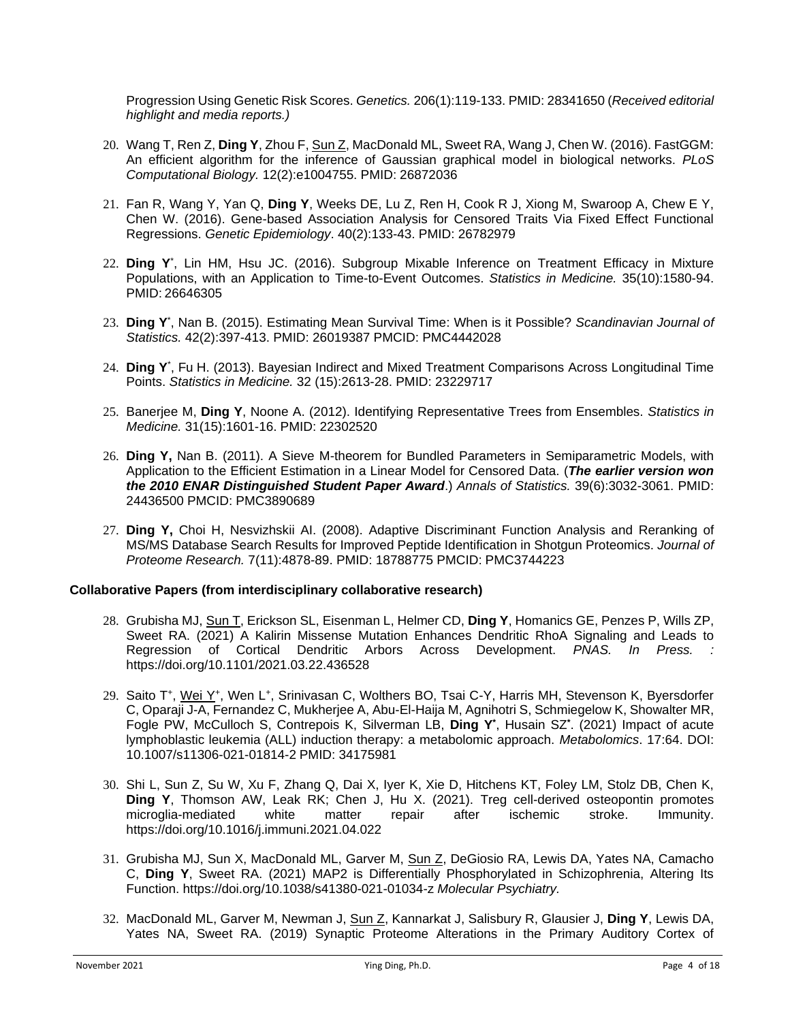Progression Using Genetic Risk Scores. *Genetics.* 206(1):119-133. PMID: 28341650 (*Received editorial highlight and media reports.)*

- 20. Wang T, Ren Z, **Ding Y**, Zhou F, Sun Z, MacDonald ML, Sweet RA, Wang J, Chen W. (2016). FastGGM: An efficient algorithm for the inference of Gaussian graphical model in biological networks. *PLoS Computational Biology.* 12(2):e1004755. PMID: 26872036
- 21. Fan R, Wang Y, Yan Q, **Ding Y**, Weeks DE, Lu Z, Ren H, Cook R J, Xiong M, Swaroop A, Chew E Y, Chen W. (2016). Gene-based Association Analysis for Censored Traits Via Fixed Effect Functional Regressions. *Genetic Epidemiology*. 40(2):133-43. PMID: 26782979
- 22. Ding Y<sup>\*</sup>, Lin HM, Hsu JC. (2016). Subgroup Mixable Inference on Treatment Efficacy in Mixture Populations, with an Application to Time-to-Event Outcomes. *Statistics in Medicine.* 35(10):1580-94. PMID: 26646305
- 23. **Ding Y** \* , Nan B. (2015). Estimating Mean Survival Time: When is it Possible? *Scandinavian Journal of Statistics.* 42(2):397-413. PMID: 26019387 PMCID: PMC4442028
- 24. **Ding Y**\* , Fu H. (2013). Bayesian Indirect and Mixed Treatment Comparisons Across Longitudinal Time Points. *Statistics in Medicine.* 32 (15):2613-28. PMID: 23229717
- 25. Banerjee M, **Ding Y**, Noone A. (2012). Identifying Representative Trees from Ensembles. *Statistics in Medicine.* 31(15):1601-16. PMID: 22302520
- 26. **Ding Y,** Nan B. (2011). A Sieve M-theorem for Bundled Parameters in Semiparametric Models, with Application to the Efficient Estimation in a Linear Model for Censored Data. (*The earlier version won the 2010 ENAR Distinguished Student Paper Award*.) *Annals of Statistics.* 39(6):3032-3061. PMID: 24436500 PMCID: PMC3890689
- 27. **Ding Y,** Choi H, Nesvizhskii AI. (2008). Adaptive Discriminant Function Analysis and Reranking of MS/MS Database Search Results for Improved Peptide Identification in Shotgun Proteomics. *Journal of Proteome Research.* 7(11):4878-89. PMID: 18788775 PMCID: PMC3744223

#### **Collaborative Papers (from interdisciplinary collaborative research)**

- 28. Grubisha MJ, Sun T, Erickson SL, Eisenman L, Helmer CD, **Ding Y**, Homanics GE, Penzes P, Wills ZP, Sweet RA. (2021) A Kalirin Missense Mutation Enhances Dendritic RhoA Signaling and Leads to Regression of Cortical Dendritic Arbors Across Development. *PNAS. In Press. :*  https://doi.org/10.1101/2021.03.22.436528
- 29. Saito T<sup>+</sup>, Wei Y<sup>+</sup>, Wen L<sup>+</sup>, Srinivasan C, Wolthers BO, Tsai C-Y, Harris MH, Stevenson K, Byersdorfer C, Oparaji J-A, Fernandez C, Mukherjee A, Abu-El-Haija M, Agnihotri S, Schmiegelow K, Showalter MR, Fogle PW, McCulloch S, Contrepois K, Silverman LB, **Ding Y\*** , Husain SZ**\*** . (2021) Impact of acute lymphoblastic leukemia (ALL) induction therapy: a metabolomic approach. *Metabolomics*. 17:64. DOI: 10.1007/s11306-021-01814-2 PMID: 34175981
- 30. Shi L, Sun Z, Su W, Xu F, Zhang Q, Dai X, Iyer K, Xie D, Hitchens KT, Foley LM, Stolz DB, Chen K, **Ding Y**, Thomson AW, Leak RK; Chen J, Hu X. (2021). Treg cell-derived osteopontin promotes microglia-mediated white matter repair after ischemic stroke. Immunity. https://doi.org/10.1016/j.immuni.2021.04.022
- 31. Grubisha MJ, Sun X, MacDonald ML, Garver M, Sun Z, DeGiosio RA, Lewis DA, Yates NA, Camacho C, **Ding Y**, Sweet RA. (2021) MAP2 is Differentially Phosphorylated in Schizophrenia, Altering Its Function. https://doi.org/10.1038/s41380-021-01034-z *Molecular Psychiatry.*
- 32. MacDonald ML, Garver M, Newman J, Sun Z, Kannarkat J, Salisbury R, Glausier J, **Ding Y**, Lewis DA, Yates NA, Sweet RA. (2019) Synaptic Proteome Alterations in the Primary Auditory Cortex of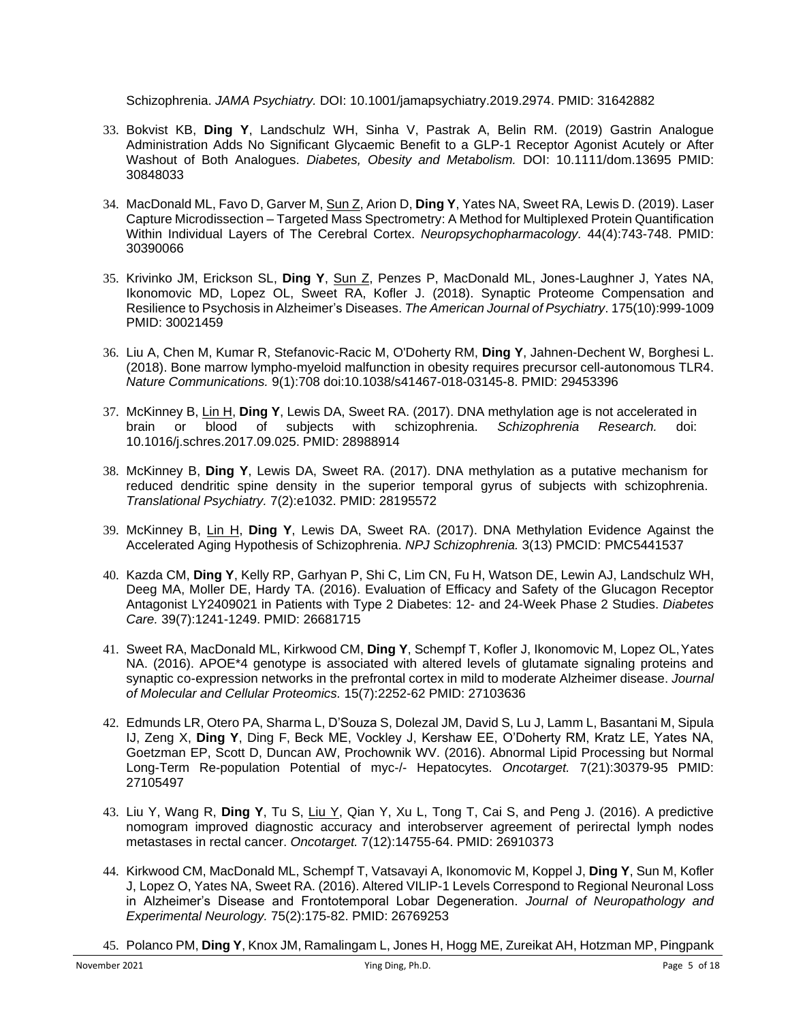Schizophrenia. *JAMA Psychiatry.* DOI: 10.1001/jamapsychiatry.2019.2974. PMID: 31642882

- 33. Bokvist KB, **Ding Y**, Landschulz WH, Sinha V, Pastrak A, Belin RM. (2019) Gastrin Analogue Administration Adds No Significant Glycaemic Benefit to a GLP-1 Receptor Agonist Acutely or After Washout of Both Analogues. *Diabetes, Obesity and Metabolism.* DOI: 10.1111/dom.13695 PMID: 30848033
- 34. MacDonald ML, Favo D, Garver M, Sun Z, Arion D, **Ding Y**, Yates NA, Sweet RA, Lewis D. (2019). Laser Capture Microdissection – Targeted Mass Spectrometry: A Method for Multiplexed Protein Quantification Within Individual Layers of The Cerebral Cortex. *Neuropsychopharmacology.* 44(4):743-748. PMID: 30390066
- 35. Krivinko JM, Erickson SL, **Ding Y**, Sun Z, Penzes P, MacDonald ML, Jones-Laughner J, Yates NA, Ikonomovic MD, Lopez OL, Sweet RA, Kofler J. (2018). Synaptic Proteome Compensation and Resilience to Psychosis in Alzheimer's Diseases. *The American Journal of Psychiatry*. 175(10):999-1009 PMID: 30021459
- 36. Liu A, Chen M, Kumar R, Stefanovic-Racic M, O'Doherty RM, **Ding Y**, Jahnen-Dechent W, Borghesi L. (2018). Bone marrow lympho-myeloid malfunction in obesity requires precursor cell-autonomous TLR4. *Nature Communications.* 9(1):708 doi:10.1038/s41467-018-03145-8. PMID: 29453396
- 37. McKinney B, Lin H, **Ding Y**, Lewis DA, Sweet RA. (2017). DNA methylation age is not accelerated in brain or blood of subjects with schizophrenia. *Schizophrenia Research.* doi: 10.1016/j.schres.2017.09.025. PMID: 28988914
- 38. McKinney B, **Ding Y**, Lewis DA, Sweet RA. (2017). DNA methylation as a putative mechanism for reduced dendritic spine density in the superior temporal gyrus of subjects with schizophrenia. *Translational Psychiatry.* 7(2):e1032. PMID: 28195572
- 39. McKinney B, Lin H, **Ding Y**, Lewis DA, Sweet RA. (2017). DNA Methylation Evidence Against the Accelerated Aging Hypothesis of Schizophrenia. *NPJ Schizophrenia.* 3(13) PMCID: PMC5441537
- 40. Kazda CM, **Ding Y**, Kelly RP, Garhyan P, Shi C, Lim CN, Fu H, Watson DE, Lewin AJ, Landschulz WH, Deeg MA, Moller DE, Hardy TA. (2016). Evaluation of Efficacy and Safety of the Glucagon Receptor Antagonist LY2409021 in Patients with Type 2 Diabetes: 12- and 24-Week Phase 2 Studies. *Diabetes Care.* 39(7):1241-1249. PMID: 26681715
- 41. Sweet RA, MacDonald ML, Kirkwood CM, **Ding Y**, Schempf T, Kofler J, Ikonomovic M, Lopez OL,Yates NA. (2016). APOE\*4 genotype is associated with altered levels of glutamate signaling proteins and synaptic co-expression networks in the prefrontal cortex in mild to moderate Alzheimer disease. *Journal of Molecular and Cellular Proteomics.* 15(7):2252-62 PMID: 27103636
- 42. Edmunds LR, Otero PA, Sharma L, D'Souza S, Dolezal JM, David S, Lu J, Lamm L, Basantani M, Sipula IJ, Zeng X, **Ding Y**, Ding F, Beck ME, Vockley J, Kershaw EE, O'Doherty RM, Kratz LE, Yates NA, Goetzman EP, Scott D, Duncan AW, Prochownik WV. (2016). Abnormal Lipid Processing but Normal Long-Term Re-population Potential of myc-/- Hepatocytes. *Oncotarget.* 7(21):30379-95 PMID: 27105497
- 43. Liu Y, Wang R, **Ding Y**, Tu S, Liu Y, Qian Y, Xu L, Tong T, Cai S, and Peng J. (2016). A predictive nomogram improved diagnostic accuracy and interobserver agreement of perirectal lymph nodes metastases in rectal cancer. *Oncotarget.* 7(12):14755-64. PMID: 26910373
- 44. Kirkwood CM, MacDonald ML, Schempf T, Vatsavayi A, Ikonomovic M, Koppel J, **Ding Y**, Sun M, Kofler J, Lopez O, Yates NA, Sweet RA. (2016). Altered VILIP-1 Levels Correspond to Regional Neuronal Loss in Alzheimer's Disease and Frontotemporal Lobar Degeneration. *Journal of Neuropathology and Experimental Neurology.* 75(2):175-82. PMID: 26769253
- 45. Polanco PM, **Ding Y**, Knox JM, Ramalingam L, Jones H, Hogg ME, Zureikat AH, Hotzman MP, Pingpank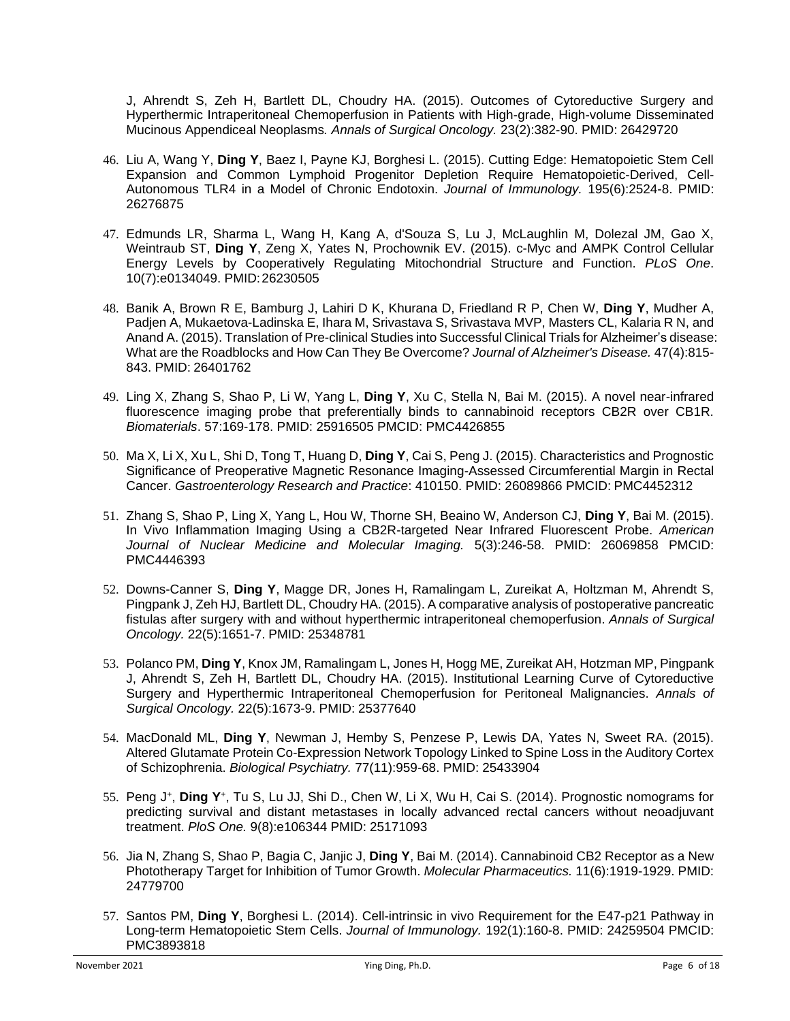J, Ahrendt S, Zeh H, Bartlett DL, Choudry HA. (2015). Outcomes of Cytoreductive Surgery and Hyperthermic Intraperitoneal Chemoperfusion in Patients with High-grade, High-volume Disseminated Mucinous Appendiceal Neoplasms*. Annals of Surgical Oncology.* 23(2):382-90. PMID: 26429720

- 46. Liu A, Wang Y, **Ding Y**, Baez I, Payne KJ, Borghesi L. (2015). Cutting Edge: Hematopoietic Stem Cell Expansion and Common Lymphoid Progenitor Depletion Require Hematopoietic-Derived, Cell-Autonomous TLR4 in a Model of Chronic Endotoxin. *Journal of Immunology.* 195(6):2524-8. PMID: 26276875
- 47. Edmunds LR, Sharma L, Wang H, Kang A, d'Souza S, Lu J, McLaughlin M, Dolezal JM, Gao X, Weintraub ST, **Ding Y**, Zeng X, Yates N, Prochownik EV. (2015). c-Myc and AMPK Control Cellular Energy Levels by Cooperatively Regulating Mitochondrial Structure and Function. *PLoS One*. 10(7):e0134049. PMID:26230505
- 48. Banik A, Brown R E, Bamburg J, Lahiri D K, Khurana D, Friedland R P, Chen W, **Ding Y**, Mudher A, Padjen A, Mukaetova-Ladinska E, Ihara M, Srivastava S, Srivastava MVP, Masters CL, Kalaria R N, and Anand A. (2015). Translation of Pre-clinical Studies into Successful Clinical Trials for Alzheimer's disease: What are the Roadblocks and How Can They Be Overcome? *Journal of Alzheimer's Disease.* 47(4):815- 843. PMID: 26401762
- 49. Ling X, Zhang S, Shao P, Li W, Yang L, **Ding Y**, Xu C, Stella N, Bai M. (2015). A novel near-infrared fluorescence imaging probe that preferentially binds to cannabinoid receptors CB2R over CB1R. *Biomaterials*. 57:169-178. PMID: 25916505 PMCID: PMC4426855
- 50. Ma X, Li X, Xu L, Shi D, Tong T, Huang D, **Ding Y**, Cai S, Peng J. (2015). Characteristics and Prognostic Significance of Preoperative Magnetic Resonance Imaging-Assessed Circumferential Margin in Rectal Cancer. *Gastroenterology Research and Practice*: 410150. PMID: 26089866 PMCID: PMC4452312
- 51. Zhang S, Shao P, Ling X, Yang L, Hou W, Thorne SH, Beaino W, Anderson CJ, **Ding Y**, Bai M. (2015). In Vivo Inflammation Imaging Using a CB2R-targeted Near Infrared Fluorescent Probe. *American Journal of Nuclear Medicine and Molecular Imaging.* 5(3):246-58. PMID: 26069858 PMCID: PMC4446393
- 52. Downs-Canner S, **Ding Y**, Magge DR, Jones H, Ramalingam L, Zureikat A, Holtzman M, Ahrendt S, Pingpank J, Zeh HJ, Bartlett DL, Choudry HA. (2015). A comparative analysis of postoperative pancreatic fistulas after surgery with and without hyperthermic intraperitoneal chemoperfusion. *Annals of Surgical Oncology.* 22(5):1651-7. PMID: 25348781
- 53. Polanco PM, **Ding Y**, Knox JM, Ramalingam L, Jones H, Hogg ME, Zureikat AH, Hotzman MP, Pingpank J, Ahrendt S, Zeh H, Bartlett DL, Choudry HA. (2015). Institutional Learning Curve of Cytoreductive Surgery and Hyperthermic Intraperitoneal Chemoperfusion for Peritoneal Malignancies. *Annals of Surgical Oncology.* 22(5):1673-9. PMID: 25377640
- 54. MacDonald ML, **Ding Y**, Newman J, Hemby S, Penzese P, Lewis DA, Yates N, Sweet RA. (2015). Altered Glutamate Protein Co-Expression Network Topology Linked to Spine Loss in the Auditory Cortex of Schizophrenia. *Biological Psychiatry.* 77(11):959-68. PMID: 25433904
- 55. Peng J<sup>+</sup> , **Ding Y**<sup>+</sup> , Tu S, Lu JJ, Shi D., Chen W, Li X, Wu H, Cai S. (2014). Prognostic nomograms for predicting survival and distant metastases in locally advanced rectal cancers without neoadjuvant treatment. *PloS One.* 9(8):e106344 PMID: 25171093
- 56. Jia N, Zhang S, Shao P, Bagia C, Janjic J, **Ding Y**, Bai M. (2014). Cannabinoid CB2 Receptor as a New Phototherapy Target for Inhibition of Tumor Growth. *Molecular Pharmaceutics.* 11(6):1919-1929. PMID: 24779700
- 57. Santos PM, **Ding Y**, Borghesi L. (2014). Cell-intrinsic in vivo Requirement for the E47-p21 Pathway in Long-term Hematopoietic Stem Cells. *Journal of Immunology.* 192(1):160-8. PMID: 24259504 PMCID: PMC3893818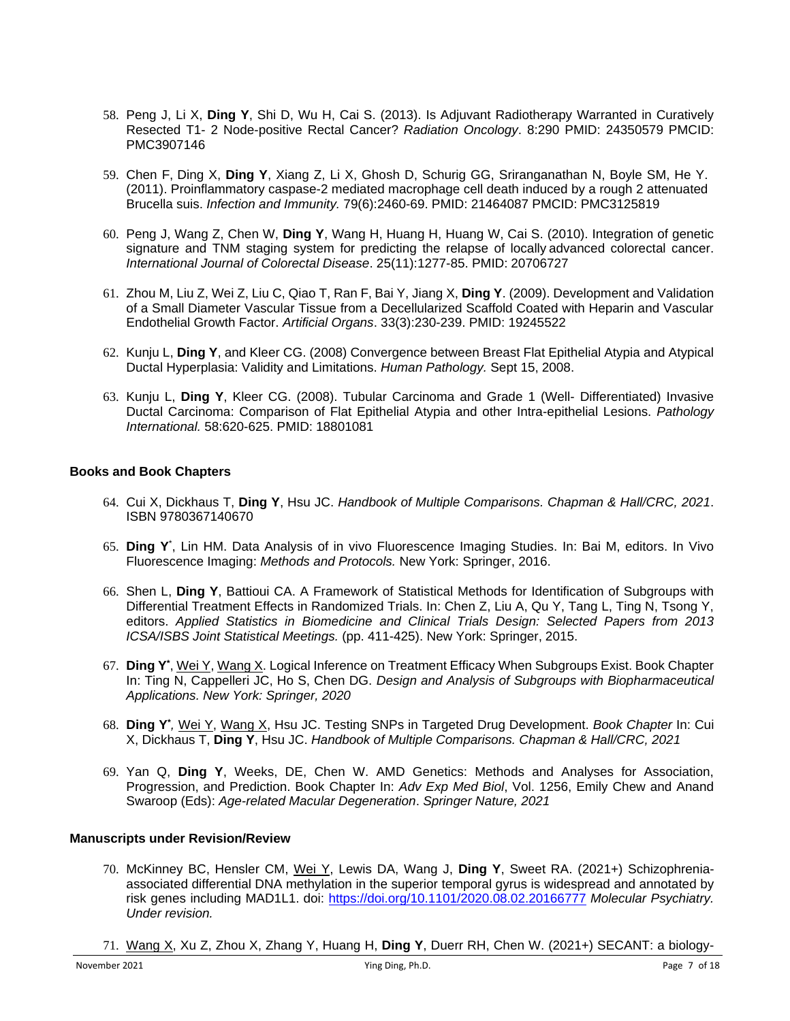- 58. Peng J, Li X, **Ding Y**, Shi D, Wu H, Cai S. (2013). Is Adjuvant Radiotherapy Warranted in Curatively Resected T1- 2 Node-positive Rectal Cancer? *Radiation Oncology*. 8:290 PMID: 24350579 PMCID: PMC3907146
- 59. Chen F, Ding X, **Ding Y**, Xiang Z, Li X, Ghosh D, Schurig GG, Sriranganathan N, Boyle SM, He Y. (2011). Proinflammatory caspase-2 mediated macrophage cell death induced by a rough 2 attenuated Brucella suis. *Infection and Immunity.* 79(6):2460-69. PMID: 21464087 PMCID: PMC3125819
- 60. Peng J, Wang Z, Chen W, **Ding Y**, Wang H, Huang H, Huang W, Cai S. (2010). Integration of genetic signature and TNM staging system for predicting the relapse of locally advanced colorectal cancer. *International Journal of Colorectal Disease*. 25(11):1277-85. PMID: 20706727
- 61. Zhou M, Liu Z, Wei Z, Liu C, Qiao T, Ran F, Bai Y, Jiang X, **Ding Y**. (2009). Development and Validation of a Small Diameter Vascular Tissue from a Decellularized Scaffold Coated with Heparin and Vascular Endothelial Growth Factor. *Artificial Organs*. 33(3):230-239. PMID: 19245522
- 62. Kunju L, **Ding Y**, and Kleer CG. (2008) Convergence between Breast Flat Epithelial Atypia and Atypical Ductal Hyperplasia: Validity and Limitations. *Human Pathology.* Sept 15, 2008.
- 63. Kunju L, **Ding Y**, Kleer CG. (2008). Tubular Carcinoma and Grade 1 (Well- Differentiated) Invasive Ductal Carcinoma: Comparison of Flat Epithelial Atypia and other Intra-epithelial Lesions. *Pathology International.* 58:620-625. PMID: 18801081

#### **Books and Book Chapters**

- 64. Cui X, Dickhaus T, **Ding Y**, Hsu JC. *Handbook of Multiple Comparisons. Chapman & Hall/CRC, 2021*. ISBN 9780367140670
- 65. **Ding Y** \* , Lin HM. Data Analysis of in vivo Fluorescence Imaging Studies. In: Bai M, editors. In Vivo Fluorescence Imaging: *Methods and Protocols.* New York: Springer, 2016.
- 66. Shen L, **Ding Y**, Battioui CA. A Framework of Statistical Methods for Identification of Subgroups with Differential Treatment Effects in Randomized Trials. In: Chen Z, Liu A, Qu Y, Tang L, Ting N, Tsong Y, editors. *Applied Statistics in Biomedicine and Clinical Trials Design: Selected Papers from 2013 ICSA/ISBS Joint Statistical Meetings.* (pp. 411-425). New York: Springer, 2015.
- 67. Ding Y<sup>\*</sup>, Wei Y, Wang X. Logical Inference on Treatment Efficacy When Subgroups Exist. Book Chapter In: Ting N, Cappelleri JC, Ho S, Chen DG. *Design and Analysis of Subgroups with Biopharmaceutical Applications. New York: Springer, 2020*
- 68. **Ding Y\*** *,* Wei Y, Wang X, Hsu JC. Testing SNPs in Targeted Drug Development. *Book Chapter* In: Cui X, Dickhaus T, **Ding Y**, Hsu JC. *Handbook of Multiple Comparisons. Chapman & Hall/CRC, 2021*
- 69. Yan Q, **Ding Y**, Weeks, DE, Chen W. AMD Genetics: Methods and Analyses for Association, Progression, and Prediction. Book Chapter In: *Adv Exp Med Biol*, Vol. 1256, Emily Chew and Anand Swaroop (Eds): *Age-related Macular Degeneration*. *Springer Nature, 2021*

#### **Manuscripts under Revision/Review**

- 70. McKinney BC, Hensler CM, Wei Y, Lewis DA, Wang J, **Ding Y**, Sweet RA. (2021+) Schizophreniaassociated differential DNA methylation in the superior temporal gyrus is widespread and annotated by risk genes including MAD1L1. doi:<https://doi.org/10.1101/2020.08.02.20166777> *Molecular Psychiatry. Under revision.*
- 71. Wang X, Xu Z, Zhou X, Zhang Y, Huang H, **Ding Y**, Duerr RH, Chen W. (2021+) SECANT: a biology-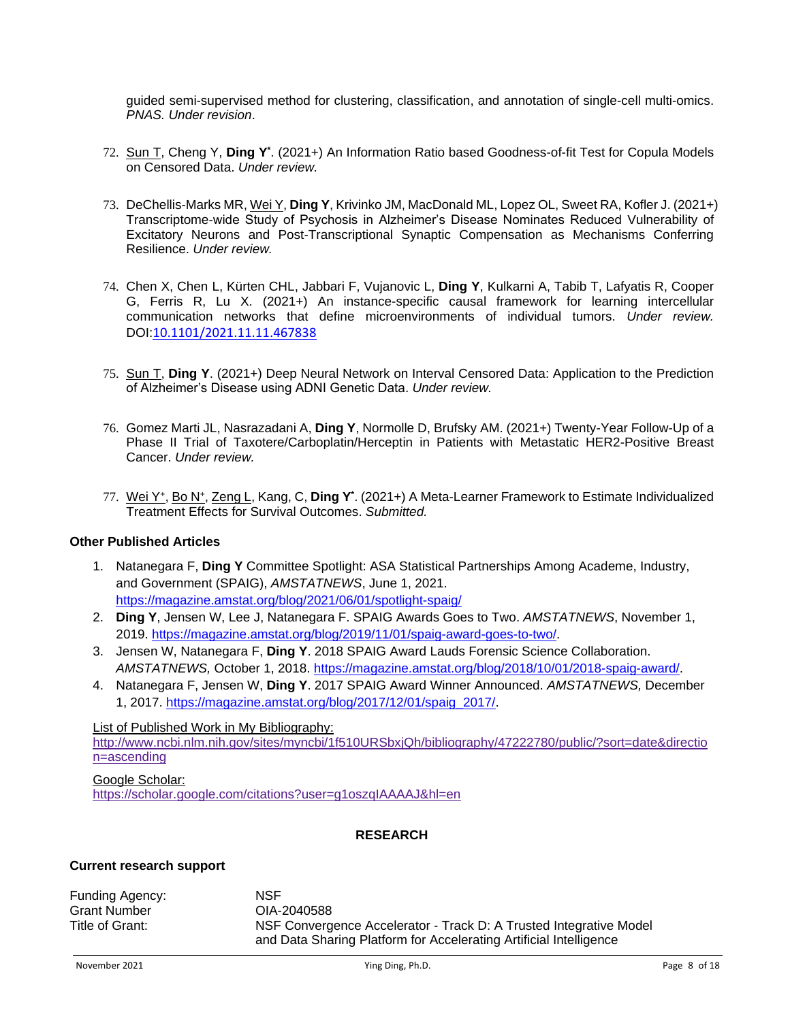guided semi-supervised method for clustering, classification, and annotation of single-cell multi-omics. *PNAS. Under revision*.

- 72. Sun T, Cheng Y, **Ding Y\*** . (2021+) An Information Ratio based Goodness-of-fit Test for Copula Models on Censored Data. *Under review.*
- 73. DeChellis-Marks MR, Wei Y, **Ding Y**, Krivinko JM, MacDonald ML, Lopez OL, Sweet RA, Kofler J. (2021+) Transcriptome-wide Study of Psychosis in Alzheimer's Disease Nominates Reduced Vulnerability of Excitatory Neurons and Post-Transcriptional Synaptic Compensation as Mechanisms Conferring Resilience. *Under review.*
- 74. Chen X, Chen L, Kürten CHL, Jabbari F, Vujanovic L, **Ding Y**, Kulkarni A, Tabib T, Lafyatis R, Cooper G, Ferris R, Lu X. (2021+) An instance-specific causal framework for learning intercellular communication networks that define microenvironments of individual tumors. *Under review.* DOI:10.1101/2021.11.11.467838
- 75. Sun T, **Ding Y**. (2021+) Deep Neural Network on Interval Censored Data: Application to the Prediction of Alzheimer's Disease using ADNI Genetic Data. *Under review.*
- 76. Gomez Marti JL, Nasrazadani A, **Ding Y**, Normolle D, Brufsky AM. (2021+) Twenty-Year Follow-Up of a Phase II Trial of Taxotere/Carboplatin/Herceptin in Patients with Metastatic HER2-Positive Breast Cancer. *Under review.*
- 77. Wei Y<sup>+</sup> , Bo N<sup>+</sup> , Zeng L, Kang, C, **Ding Y\*** . (2021+) A Meta-Learner Framework to Estimate Individualized Treatment Effects for Survival Outcomes. *Submitted.*

#### **Other Published Articles**

- 1. Natanegara F, **Ding Y** Committee Spotlight: ASA Statistical Partnerships Among Academe, Industry, and Government (SPAIG), *AMSTATNEWS*, June 1, 2021. https://magazine.amstat.org/blog/2021/06/01/spotlight-spaig/
- 2. **Ding Y**, Jensen W, Lee J, Natanegara F. SPAIG Awards Goes to Two. *AMSTATNEWS*, November 1, 2019. [https://magazine.amstat.org/blog/2019/11/01/spaig-award-goes-to-two/.](https://magazine.amstat.org/blog/2019/11/01/spaig-award-goes-to-two/)
- 3. Jensen W, Natanegara F, **Ding Y**. 2018 SPAIG Award Lauds Forensic Science Collaboration. *AMSTATNEWS,* October 1, 2018. [https://magazine.amstat.org/blog/2018/10/01/2018-spaig-award/.](https://magazine.amstat.org/blog/2018/10/01/2018-spaig-award/)
- 4. Natanegara F, Jensen W, **Ding Y**. 2017 SPAIG Award Winner Announced. *AMSTATNEWS,* December 1, 2017. [https://magazine.amstat.org/blog/2017/12/01/spaig\\_2017/.](https://magazine.amstat.org/blog/2017/12/01/spaig_2017/)

#### List of Published Work in My Bibliography:

[http://www.ncbi.nlm.nih.gov/sites/myncbi/1f510URSbxjQh/bibliography/47222780/public/?sort=date&directio](http://www.ncbi.nlm.nih.gov/sites/myncbi/1f510URSbxjQh/bibliography/47222780/public/?sort=date&direction=ascending) [n=ascending](http://www.ncbi.nlm.nih.gov/sites/myncbi/1f510URSbxjQh/bibliography/47222780/public/?sort=date&direction=ascending)

#### Google Scholar:

<https://scholar.google.com/citations?user=g1oszqIAAAAJ&hl=en>

#### **RESEARCH**

#### **Current research support**

Funding Agency: NSF Grant Number Title of Grant: OIA-2040588 NSF Convergence Accelerator - Track D: A Trusted Integrative Model and Data Sharing Platform for Accelerating Artificial Intelligence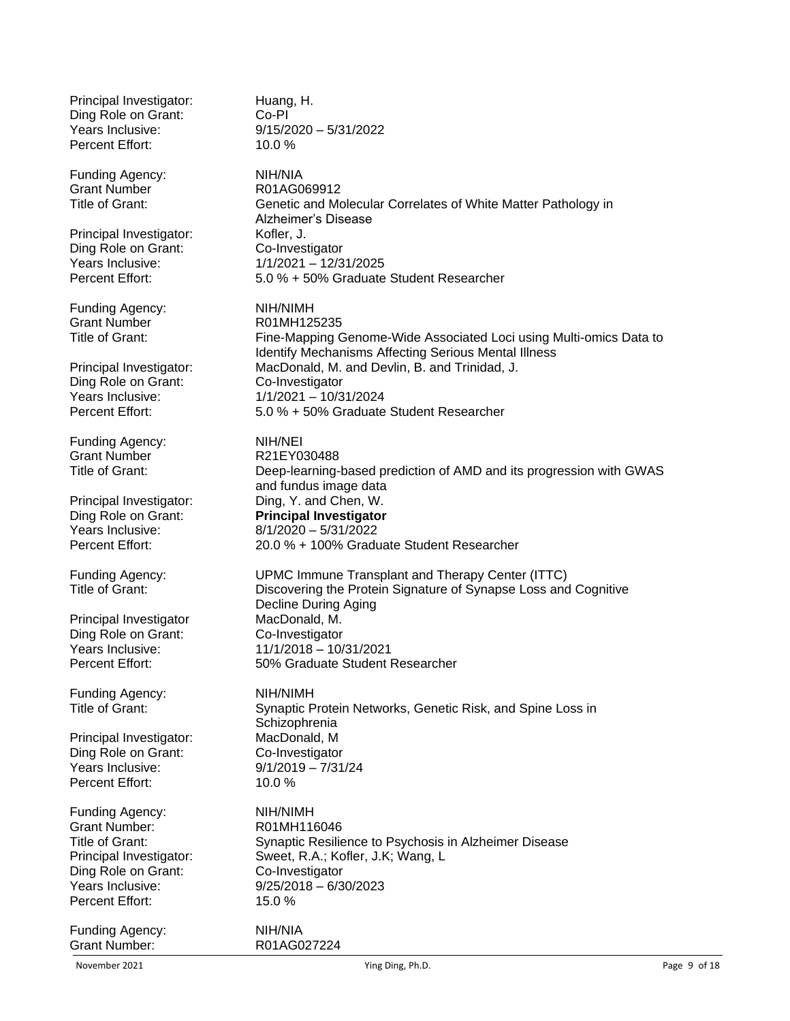Principal Investigator: Huang, H. Ding Role on Grant: Co-PI Years Inclusive: 9/15/2020 – 5/31/2022 Percent Effort: 10.0 % Funding Agency: NIH/NIA Grant Number Title of Grant: R01AG069912 Genetic and Molecular Correlates of White Matter Pathology in Alzheimer's Disease Principal Investigator: Kofler, J. Ding Role on Grant: Co-Investigator<br>
Years Inclusive: 1/1/2021 - 12/3  $1/1/2021 - 12/31/2025$ Percent Effort: 5.0 % + 50% Graduate Student Researcher Funding Agency: NIH/NIMH Grant Number Title of Grant: R01MH125235 Fine-Mapping Genome-Wide Associated Loci using Multi-omics Data to Identify Mechanisms Affecting Serious Mental Illness Principal Investigator: MacDonald, M. and Devlin, B. and Trinidad, J. Ding Role on Grant: Co-Investigator<br>
Years Inclusive: 1/1/2021 - 10/3 Years Inclusive: 1/1/2021 – 10/31/2024 Percent Effort: 5.0 % + 50% Graduate Student Researcher Funding Agency: NIH/NEI Grant Number Title of Grant: R21EY030488 Deep-learning-based prediction of AMD and its progression with GWAS and fundus image data Principal Investigator: Ding, Y. and Chen, W. Ding Role on Grant: **Principal Investigator** Years Inclusive: 8/1/2020 – 5/31/2022 Percent Effort: 20.0 % + 100% Graduate Student Researcher Funding Agency: UPMC Immune Transplant and Therapy Center (ITTC) Title of Grant: Discovering the Protein Signature of Synapse Loss and Cognitive Decline During Aging Principal Investigator MacDonald, M. Ding Role on Grant: Co-Investigator Years Inclusive: 11/1/2018 – 10/31/2021 Percent Effort: 50% Graduate Student Researcher Funding Agency: NIH/NIMH Title of Grant: Synaptic Protein Networks, Genetic Risk, and Spine Loss in **Schizophrenia** Principal Investigator: MacDonald, M Ding Role on Grant: Co-Investigator Years Inclusive: 9/1/2019 – 7/31/24 Percent Effort: 10.0 % Funding Agency: NIH/NIMH Grant Number: R01MH116046 Title of Grant: Synaptic Resilience to Psychosis in Alzheimer Disease Principal Investigator: Sweet, R.A.; Kofler, J.K; Wang, L Ding Role on Grant: Co-Investigator<br>
Years Inclusive: 9/25/2018 – 6/3  $9/25/2018 - 6/30/2023$ Percent Effort: 15.0 % Funding Agency: NIH/NIA Grant Number: R01AG027224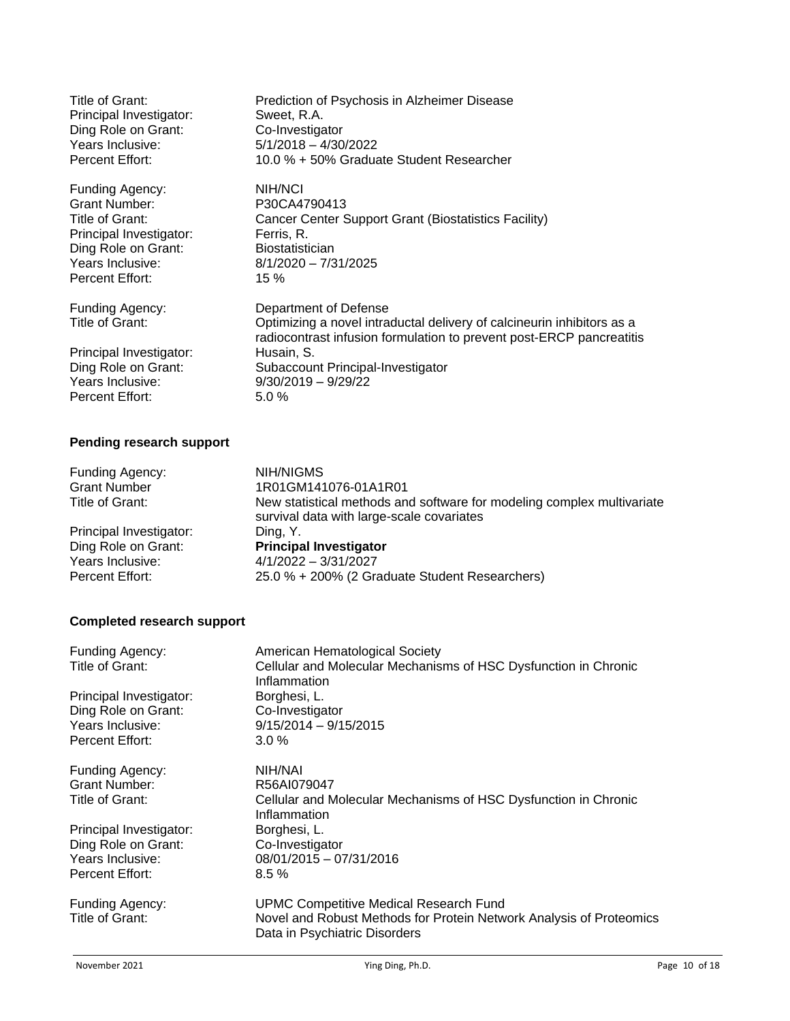| Title of Grant:                                                                                                             | Prediction of Psychosis in Alzheimer Disease                                                                                                                                                                                                                |
|-----------------------------------------------------------------------------------------------------------------------------|-------------------------------------------------------------------------------------------------------------------------------------------------------------------------------------------------------------------------------------------------------------|
| Principal Investigator:                                                                                                     | Sweet, R.A.                                                                                                                                                                                                                                                 |
| Ding Role on Grant:                                                                                                         | Co-Investigator                                                                                                                                                                                                                                             |
| Years Inclusive:                                                                                                            | $5/1/2018 - 4/30/2022$                                                                                                                                                                                                                                      |
| Percent Effort:                                                                                                             | 10.0 % + 50% Graduate Student Researcher                                                                                                                                                                                                                    |
| Funding Agency:                                                                                                             | NIH/NCI                                                                                                                                                                                                                                                     |
| Grant Number:                                                                                                               | P30CA4790413                                                                                                                                                                                                                                                |
| Title of Grant:                                                                                                             | Cancer Center Support Grant (Biostatistics Facility)                                                                                                                                                                                                        |
| Principal Investigator:                                                                                                     | Ferris, R.                                                                                                                                                                                                                                                  |
| Ding Role on Grant:                                                                                                         | <b>Biostatistician</b>                                                                                                                                                                                                                                      |
| Years Inclusive:                                                                                                            | $8/1/2020 - 7/31/2025$                                                                                                                                                                                                                                      |
| Percent Effort:                                                                                                             | 15%                                                                                                                                                                                                                                                         |
| Funding Agency:<br>Title of Grant:<br>Principal Investigator:<br>Ding Role on Grant:<br>Years Inclusive:<br>Percent Effort: | Department of Defense<br>Optimizing a novel intraductal delivery of calcineurin inhibitors as a<br>radiocontrast infusion formulation to prevent post-ERCP pancreatitis<br>Husain, S.<br>Subaccount Principal-Investigator<br>$9/30/2019 - 9/29/22$<br>5.0% |

# **Pending research support**

| Funding Agency:         | NIH/NIGMS                                                                                                           |
|-------------------------|---------------------------------------------------------------------------------------------------------------------|
| <b>Grant Number</b>     | 1R01GM141076-01A1R01                                                                                                |
| Title of Grant:         | New statistical methods and software for modeling complex multivariate<br>survival data with large-scale covariates |
| Principal Investigator: | Ding, Y.                                                                                                            |
| Ding Role on Grant:     | <b>Principal Investigator</b>                                                                                       |
| Years Inclusive:        | $4/1/2022 - 3/31/2027$                                                                                              |
| Percent Effort:         | 25.0 % + 200% (2 Graduate Student Researchers)                                                                      |

# **Completed research support**

| Funding Agency:<br>Title of Grant: | American Hematological Society<br>Cellular and Molecular Mechanisms of HSC Dysfunction in Chronic                                                     |
|------------------------------------|-------------------------------------------------------------------------------------------------------------------------------------------------------|
|                                    | Inflammation                                                                                                                                          |
| Principal Investigator:            | Borghesi, L.                                                                                                                                          |
| Ding Role on Grant:                | Co-Investigator                                                                                                                                       |
| Years Inclusive:                   | $9/15/2014 - 9/15/2015$                                                                                                                               |
| <b>Percent Effort:</b>             | $3.0\%$                                                                                                                                               |
| Funding Agency:                    | NIH/NAI                                                                                                                                               |
| <b>Grant Number:</b>               | R56AI079047                                                                                                                                           |
| Title of Grant:                    | Cellular and Molecular Mechanisms of HSC Dysfunction in Chronic<br>Inflammation                                                                       |
| Principal Investigator:            | Borghesi, L.                                                                                                                                          |
| Ding Role on Grant:                | Co-Investigator                                                                                                                                       |
| Years Inclusive:                   | 08/01/2015 - 07/31/2016                                                                                                                               |
| <b>Percent Effort:</b>             | 8.5%                                                                                                                                                  |
| Funding Agency:<br>Title of Grant: | <b>UPMC Competitive Medical Research Fund</b><br>Novel and Robust Methods for Protein Network Analysis of Proteomics<br>Data in Psychiatric Disorders |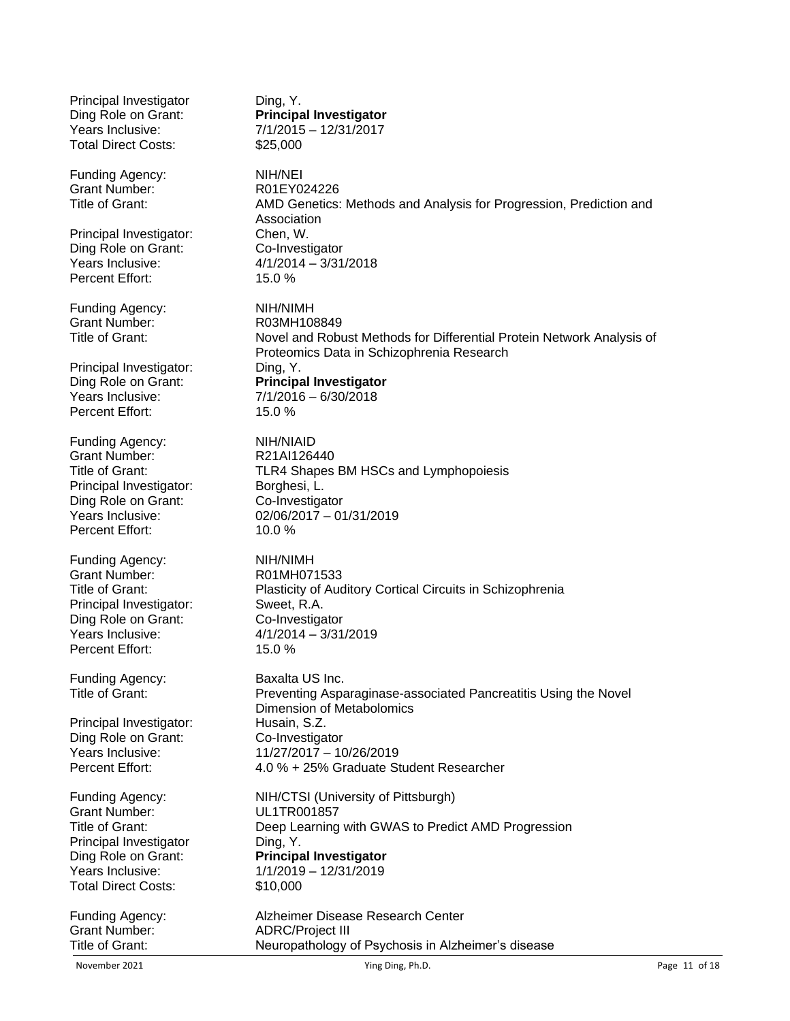| Principal Investigator     | Ding, Y.                                                                                                           |
|----------------------------|--------------------------------------------------------------------------------------------------------------------|
| Ding Role on Grant:        | <b>Principal Investigator</b>                                                                                      |
| Years Inclusive:           | $7/1/2015 - 12/31/2017$                                                                                            |
| <b>Total Direct Costs:</b> | \$25,000                                                                                                           |
|                            |                                                                                                                    |
| Funding Agency:            | NIH/NEI                                                                                                            |
| <b>Grant Number:</b>       | R01EY024226                                                                                                        |
| Title of Grant:            | AMD Genetics: Methods and Analysis for Progression, Prediction and<br>Association                                  |
| Principal Investigator:    | Chen, W.                                                                                                           |
| Ding Role on Grant:        | Co-Investigator                                                                                                    |
| Years Inclusive:           | $4/1/2014 - 3/31/2018$                                                                                             |
| Percent Effort:            | 15.0%                                                                                                              |
|                            |                                                                                                                    |
| Funding Agency:            | NIH/NIMH                                                                                                           |
| <b>Grant Number:</b>       | R03MH108849                                                                                                        |
| Title of Grant:            | Novel and Robust Methods for Differential Protein Network Analysis of<br>Proteomics Data in Schizophrenia Research |
|                            |                                                                                                                    |
| Principal Investigator:    | Ding, Y.                                                                                                           |
| Ding Role on Grant:        | <b>Principal Investigator</b>                                                                                      |
| Years Inclusive:           | $7/1/2016 - 6/30/2018$                                                                                             |
| Percent Effort:            | 15.0%                                                                                                              |
| Funding Agency:            | NIH/NIAID                                                                                                          |
| <b>Grant Number:</b>       | R21AI126440                                                                                                        |
| Title of Grant:            | TLR4 Shapes BM HSCs and Lymphopoiesis                                                                              |
| Principal Investigator:    | Borghesi, L.                                                                                                       |
| Ding Role on Grant:        | Co-Investigator                                                                                                    |
| Years Inclusive:           | 02/06/2017 - 01/31/2019                                                                                            |
| Percent Effort:            | 10.0%                                                                                                              |
|                            |                                                                                                                    |
| Funding Agency:            | NIH/NIMH                                                                                                           |
| Grant Number:              | R01MH071533                                                                                                        |
| Title of Grant:            | Plasticity of Auditory Cortical Circuits in Schizophrenia                                                          |
| Principal Investigator:    | Sweet, R.A.                                                                                                        |
| Ding Role on Grant:        | Co-Investigator                                                                                                    |
| Years Inclusive:           | $4/1/2014 - 3/31/2019$                                                                                             |
| Percent Effort:            | 15.0%                                                                                                              |
| Funding Agency:            | Baxalta US Inc.                                                                                                    |
| Title of Grant:            | Preventing Asparaginase-associated Pancreatitis Using the Novel                                                    |
|                            | <b>Dimension of Metabolomics</b>                                                                                   |
| Principal Investigator:    | Husain, S.Z.                                                                                                       |
| Ding Role on Grant:        | Co-Investigator                                                                                                    |
| Years Inclusive:           | 11/27/2017 - 10/26/2019                                                                                            |
| Percent Effort:            | 4.0 % + 25% Graduate Student Researcher                                                                            |
|                            |                                                                                                                    |
| Funding Agency:            | NIH/CTSI (University of Pittsburgh)                                                                                |
| <b>Grant Number:</b>       | UL1TR001857                                                                                                        |
| Title of Grant:            | Deep Learning with GWAS to Predict AMD Progression                                                                 |
| Principal Investigator     | Ding, Y.                                                                                                           |
| Ding Role on Grant:        | <b>Principal Investigator</b>                                                                                      |
| Years Inclusive:           | 1/1/2019 - 12/31/2019                                                                                              |
| <b>Total Direct Costs:</b> | \$10,000                                                                                                           |
| Funding Agency:            | Alzheimer Disease Research Center                                                                                  |
| <b>Grant Number:</b>       | <b>ADRC/Project III</b>                                                                                            |
| Title of Grant:            | Neuropathology of Psychosis in Alzheimer's disease                                                                 |
|                            |                                                                                                                    |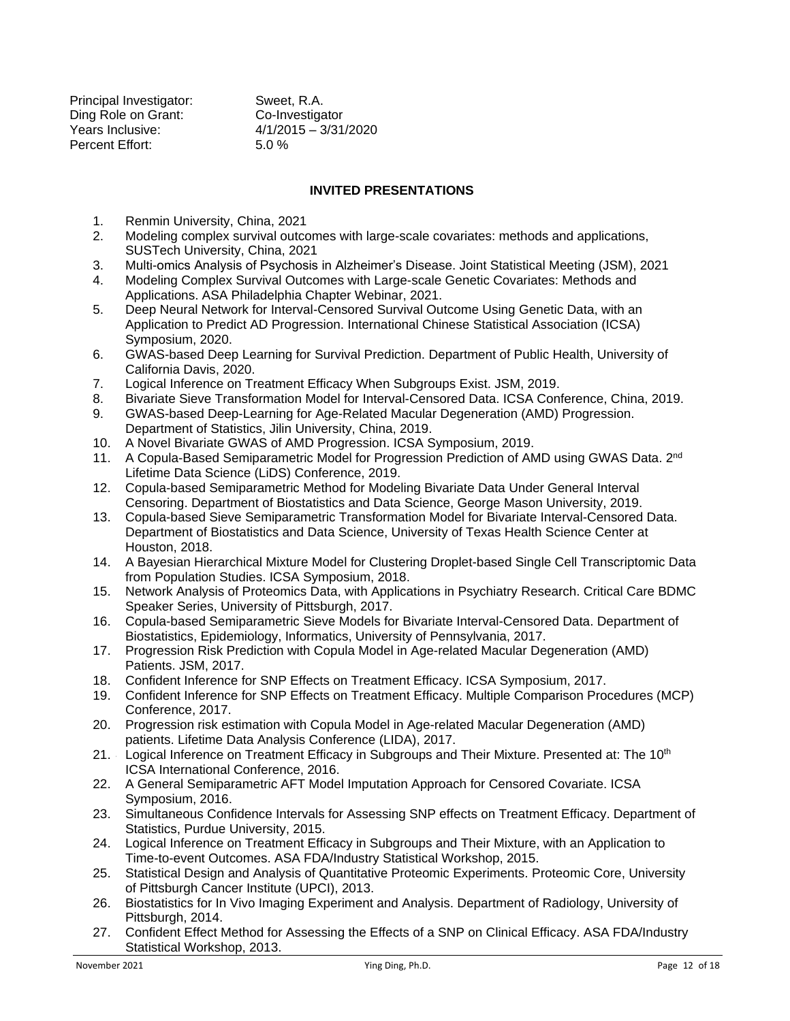Principal Investigator: Sweet, R.A. Ding Role on Grant: Co-Investigator Years Inclusive: 4/1/2015 – 3/31/2020 Percent Effort: 5.0 %

## **INVITED PRESENTATIONS**

- 1. Renmin University, China, 2021
- 2. Modeling complex survival outcomes with large-scale covariates: methods and applications, SUSTech University, China, 2021
- 3. Multi-omics Analysis of Psychosis in Alzheimer's Disease. Joint Statistical Meeting (JSM), 2021
- 4. Modeling Complex Survival Outcomes with Large-scale Genetic Covariates: Methods and Applications. ASA Philadelphia Chapter Webinar, 2021.
- 5. Deep Neural Network for Interval-Censored Survival Outcome Using Genetic Data, with an Application to Predict AD Progression. International Chinese Statistical Association (ICSA) Symposium, 2020.
- 6. GWAS-based Deep Learning for Survival Prediction. Department of Public Health, University of California Davis, 2020.
- 7. Logical Inference on Treatment Efficacy When Subgroups Exist. JSM, 2019.
- 8. Bivariate Sieve Transformation Model for Interval-Censored Data. ICSA Conference, China, 2019.
- 9. GWAS-based Deep-Learning for Age-Related Macular Degeneration (AMD) Progression. Department of Statistics, Jilin University, China, 2019.
- 10. A Novel Bivariate GWAS of AMD Progression. ICSA Symposium, 2019.
- 11. A Copula-Based Semiparametric Model for Progression Prediction of AMD using GWAS Data. 2<sup>nd</sup> Lifetime Data Science (LiDS) Conference, 2019.
- 12. Copula-based Semiparametric Method for Modeling Bivariate Data Under General Interval Censoring. Department of Biostatistics and Data Science, George Mason University, 2019.
- 13. Copula-based Sieve Semiparametric Transformation Model for Bivariate Interval-Censored Data. Department of Biostatistics and Data Science, University of Texas Health Science Center at Houston, 2018.
- 14. A Bayesian Hierarchical Mixture Model for Clustering Droplet-based Single Cell Transcriptomic Data from Population Studies. ICSA Symposium, 2018.
- 15. Network Analysis of Proteomics Data, with Applications in Psychiatry Research. Critical Care BDMC Speaker Series, University of Pittsburgh, 2017.
- 16. 1 Copula-based Semiparametric Sieve Models for Bivariate Interval-Censored Data. Department of Biostatistics, Epidemiology, Informatics, University of Pennsylvania, 2017.
- 17. Progression Risk Prediction with Copula Model in Age-related Macular Degeneration (AMD) Patients. JSM, 2017.
- 18. Confident Inference for SNP Effects on Treatment Efficacy. ICSA Symposium, 2017.
- 19. 2 Confident Inference for SNP Effects on Treatment Efficacy. Multiple Comparison Procedures (MCP) Conference, 2017.
- 20. Progression risk estimation with Copula Model in Age-related Macular Degeneration (AMD) patients. Lifetime Data Analysis Conference (LIDA), 2017.
- 21. Logical Inference on Treatment Efficacy in Subgroups and Their Mixture. Presented at: The 10<sup>th</sup> ICSA International Conference, 2016.
- 22. A General Semiparametric AFT Model Imputation Approach for Censored Covariate. ICSA Symposium, 2016.
- 23. 6 Simultaneous Confidence Intervals for Assessing SNP effects on Treatment Efficacy. Department of Statistics, Purdue University, 2015.
- $24.$ Logical Inference on Treatment Efficacy in Subgroups and Their Mixture, with an Application to Time-to-event Outcomes. ASA FDA/Industry Statistical Workshop, 2015.
- 25. 8 Statistical Design and Analysis of Quantitative Proteomic Experiments. Proteomic Core, University of Pittsburgh Cancer Institute (UPCI), 2013.
- 26. Biostatistics for In Vivo Imaging Experiment and Analysis. Department of Radiology, University of Pittsburgh, 2014.
- 27. Confident Effect Method for Assessing the Effects of a SNP on Clinical Efficacy. ASA FDA/Industry Statistical Workshop, 2013.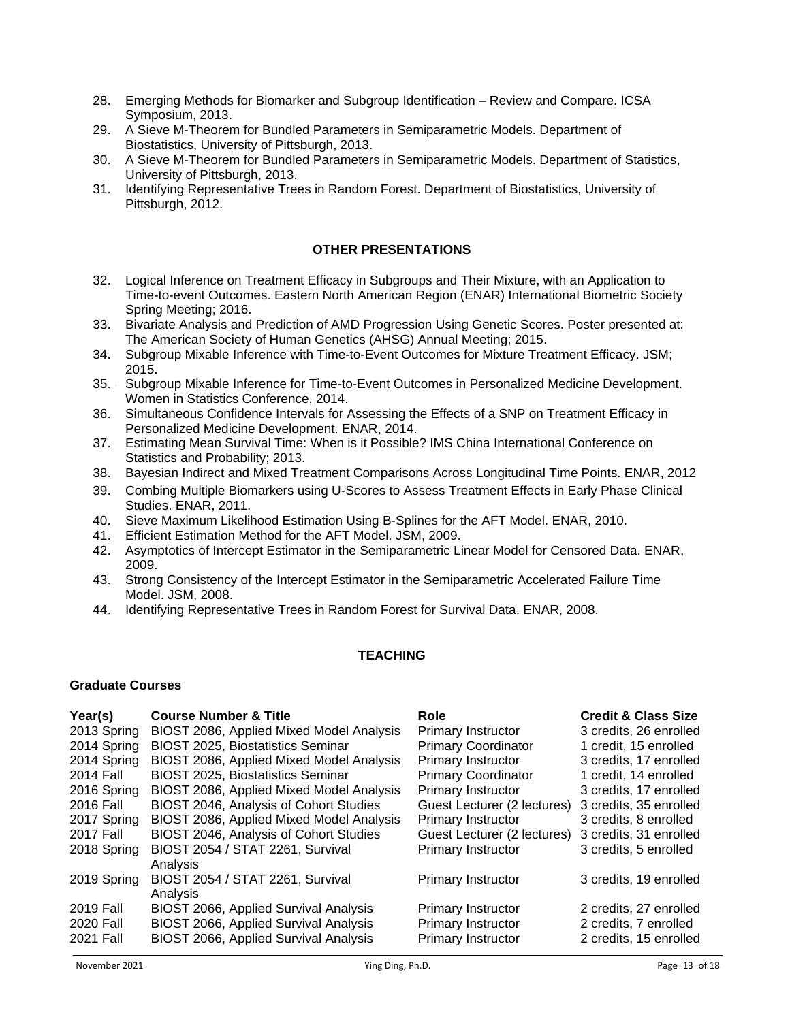- 28. 1 Emerging Methods for Biomarker and Subgroup Identification Review and Compare. ICSA Symposium, 2013.
- 29. 1 A Sieve M-Theorem for Bundled Parameters in Semiparametric Models. Department of Biostatistics, University of Pittsburgh, 2013.
- 30. 1 A Sieve M-Theorem for Bundled Parameters in Semiparametric Models. Department of Statistics, University of Pittsburgh, 2013.
- $31.$ Identifying Representative Trees in Random Forest. Department of Biostatistics, University of Pittsburgh, 2012.

## **OTHER PRESENTATIONS**

- 32. . Logical Inference on Treatment Efficacy in Subgroups and Their Mixture, with an Application to Time-to-event Outcomes. Eastern North American Region (ENAR) International Biometric Society Spring Meeting; 2016.
- 33. 2 Bivariate Analysis and Prediction of AMD Progression Using Genetic Scores. Poster presented at: The American Society of Human Genetics (AHSG) Annual Meeting; 2015.
- 34. 3 Subgroup Mixable Inference with Time-to-Event Outcomes for Mixture Treatment Efficacy. JSM; 2015.
- 35. 4 Subgroup Mixable Inference for Time-to-Event Outcomes in Personalized Medicine Development. Women in Statistics Conference, 2014.
- $36.$ Simultaneous Confidence Intervals for Assessing the Effects of a SNP on Treatment Efficacy in Personalized Medicine Development. ENAR, 2014.
- 37. Estimating Mean Survival Time: When is it Possible? IMS China International Conference on Statistics and Probability; 2013.
- 38. 7Bayesian Indirect and Mixed Treatment Comparisons Across Longitudinal Time Points. ENAR, 2012
- 39. Combing Multiple Biomarkers using U-Scores to Assess Treatment Effects in Early Phase Clinical Studies. ENAR, 2011.
- 40. . Sieve Maximum Likelihood Estimation Using B-Splines for the AFT Model. ENAR, 2010.
- 41. Efficient Estimation Method for the AFT Model. JSM, 2009.
- 42. Asymptotics of Intercept Estimator in the Semiparametric Linear Model for Censored Data. ENAR, 2009.
- 43. 1 Strong Consistency of the Intercept Estimator in the Semiparametric Accelerated Failure Time Model. JSM, 2008.
- 44. . Identifying Representative Trees in Random Forest for Survival Data. ENAR, 2008.

## **TEACHING**

## **Graduate Courses**

| Year(s)     | <b>Course Number &amp; Title</b>         | Role                        | <b>Credit &amp; Class Size</b> |
|-------------|------------------------------------------|-----------------------------|--------------------------------|
| 2013 Spring | BIOST 2086, Applied Mixed Model Analysis | <b>Primary Instructor</b>   | 3 credits, 26 enrolled         |
| 2014 Spring | <b>BIOST 2025, Biostatistics Seminar</b> | <b>Primary Coordinator</b>  | 1 credit, 15 enrolled          |
| 2014 Spring | BIOST 2086, Applied Mixed Model Analysis | <b>Primary Instructor</b>   | 3 credits, 17 enrolled         |
| 2014 Fall   | <b>BIOST 2025, Biostatistics Seminar</b> | <b>Primary Coordinator</b>  | 1 credit, 14 enrolled          |
| 2016 Spring | BIOST 2086, Applied Mixed Model Analysis | <b>Primary Instructor</b>   | 3 credits, 17 enrolled         |
| 2016 Fall   | BIOST 2046, Analysis of Cohort Studies   | Guest Lecturer (2 lectures) | 3 credits, 35 enrolled         |
| 2017 Spring | BIOST 2086, Applied Mixed Model Analysis | <b>Primary Instructor</b>   | 3 credits, 8 enrolled          |
| 2017 Fall   | BIOST 2046, Analysis of Cohort Studies   | Guest Lecturer (2 lectures) | 3 credits, 31 enrolled         |
| 2018 Spring | BIOST 2054 / STAT 2261, Survival         | <b>Primary Instructor</b>   | 3 credits, 5 enrolled          |
|             | Analysis                                 |                             |                                |
| 2019 Spring | BIOST 2054 / STAT 2261, Survival         | Primary Instructor          | 3 credits, 19 enrolled         |
|             | Analysis                                 |                             |                                |
| 2019 Fall   | BIOST 2066, Applied Survival Analysis    | <b>Primary Instructor</b>   | 2 credits, 27 enrolled         |
| 2020 Fall   | BIOST 2066, Applied Survival Analysis    | <b>Primary Instructor</b>   | 2 credits, 7 enrolled          |
| 2021 Fall   | BIOST 2066, Applied Survival Analysis    | <b>Primary Instructor</b>   | 2 credits, 15 enrolled         |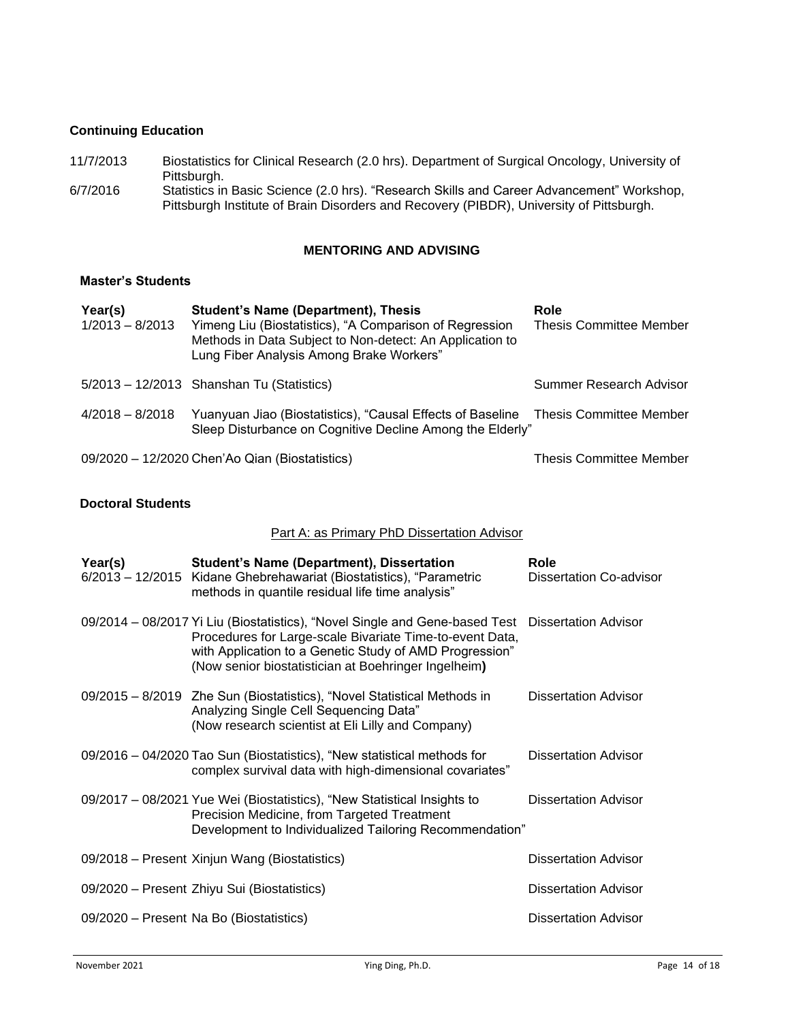## **Continuing Education**

- 11/7/2013 Biostatistics for Clinical Research (2.0 hrs). Department of Surgical Oncology, University of Pittsburgh.
- 6/7/2016 Statistics in Basic Science (2.0 hrs). "Research Skills and Career Advancement" Workshop, Pittsburgh Institute of Brain Disorders and Recovery (PIBDR), University of Pittsburgh.

## **MENTORING AND ADVISING**

## **Master's Students**

| Year(s)<br>$1/2013 - 8/2013$ | <b>Student's Name (Department), Thesis</b><br>Yimeng Liu (Biostatistics), "A Comparison of Regression<br>Methods in Data Subject to Non-detect: An Application to<br>Lung Fiber Analysis Among Brake Workers" | Role<br><b>Thesis Committee Member</b> |
|------------------------------|---------------------------------------------------------------------------------------------------------------------------------------------------------------------------------------------------------------|----------------------------------------|
|                              | $5/2013 - 12/2013$ Shanshan Tu (Statistics)                                                                                                                                                                   | Summer Research Advisor                |
| $4/2018 - 8/2018$            | Yuanyuan Jiao (Biostatistics), "Causal Effects of Baseline Thesis Committee Member<br>Sleep Disturbance on Cognitive Decline Among the Elderly"                                                               |                                        |
|                              | 09/2020 - 12/2020 Chen'Ao Qian (Biostatistics)                                                                                                                                                                | Thesis Committee Member                |

## **Doctoral Students**

## Part A: as Primary PhD Dissertation Advisor

| Year(s) | <b>Student's Name (Department), Dissertation</b><br>6/2013 - 12/2015 Kidane Ghebrehawariat (Biostatistics), "Parametric<br>methods in quantile residual life time analysis"                                                                                                     | Role<br><b>Dissertation Co-advisor</b> |
|---------|---------------------------------------------------------------------------------------------------------------------------------------------------------------------------------------------------------------------------------------------------------------------------------|----------------------------------------|
|         | 09/2014 - 08/2017 Yi Liu (Biostatistics), "Novel Single and Gene-based Test Dissertation Advisor<br>Procedures for Large-scale Bivariate Time-to-event Data,<br>with Application to a Genetic Study of AMD Progression"<br>(Now senior biostatistician at Boehringer Ingelheim) |                                        |
|         | 09/2015 - 8/2019 Zhe Sun (Biostatistics), "Novel Statistical Methods in<br>Analyzing Single Cell Sequencing Data"<br>(Now research scientist at Eli Lilly and Company)                                                                                                          | <b>Dissertation Advisor</b>            |
|         | 09/2016 - 04/2020 Tao Sun (Biostatistics), "New statistical methods for<br>complex survival data with high-dimensional covariates"                                                                                                                                              | <b>Dissertation Advisor</b>            |
|         | 09/2017 – 08/2021 Yue Wei (Biostatistics), "New Statistical Insights to<br>Precision Medicine, from Targeted Treatment<br>Development to Individualized Tailoring Recommendation"                                                                                               | <b>Dissertation Advisor</b>            |
|         | 09/2018 – Present Xinjun Wang (Biostatistics)                                                                                                                                                                                                                                   | <b>Dissertation Advisor</b>            |
|         | 09/2020 - Present Zhiyu Sui (Biostatistics)                                                                                                                                                                                                                                     | <b>Dissertation Advisor</b>            |
|         | 09/2020 – Present Na Bo (Biostatistics)                                                                                                                                                                                                                                         | <b>Dissertation Advisor</b>            |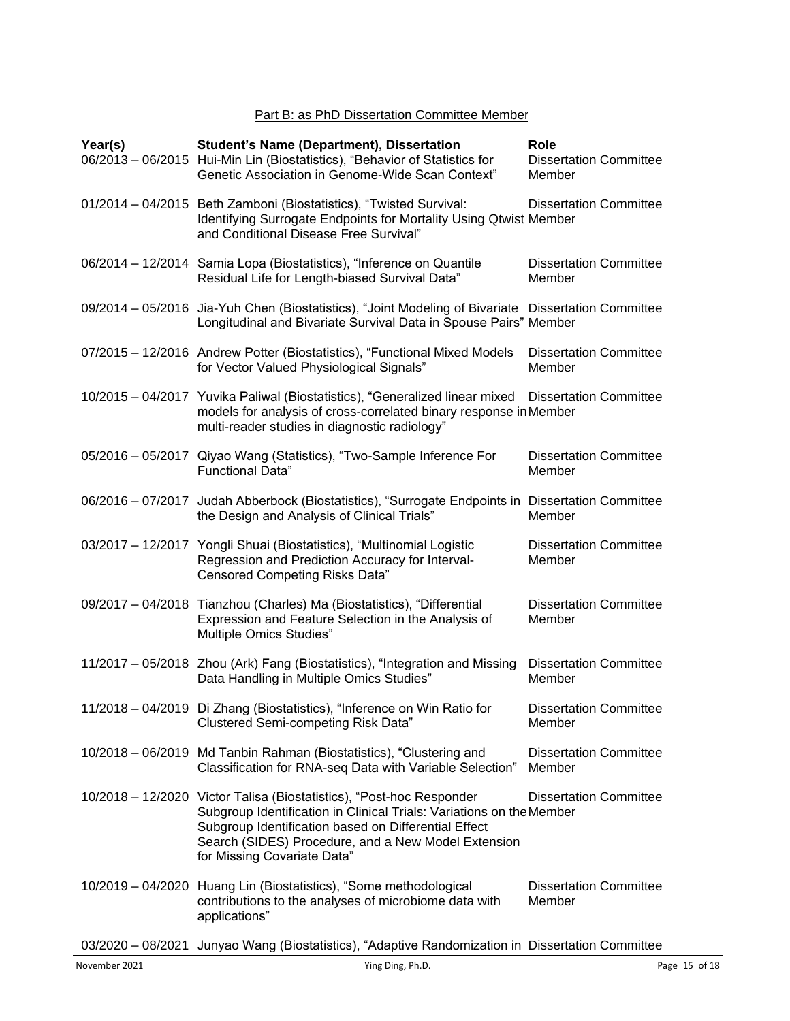# Part B: as PhD Dissertation Committee Member

| Year(s) | <b>Student's Name (Department), Dissertation</b><br>06/2013 - 06/2015 Hui-Min Lin (Biostatistics), "Behavior of Statistics for<br>Genetic Association in Genome-Wide Scan Context"                                                                                                         | Role<br><b>Dissertation Committee</b><br>Member |
|---------|--------------------------------------------------------------------------------------------------------------------------------------------------------------------------------------------------------------------------------------------------------------------------------------------|-------------------------------------------------|
|         | 01/2014 - 04/2015 Beth Zamboni (Biostatistics), "Twisted Survival:<br>Identifying Surrogate Endpoints for Mortality Using Qtwist Member<br>and Conditional Disease Free Survival"                                                                                                          | <b>Dissertation Committee</b>                   |
|         | 06/2014 - 12/2014 Samia Lopa (Biostatistics), "Inference on Quantile<br>Residual Life for Length-biased Survival Data"                                                                                                                                                                     | <b>Dissertation Committee</b><br>Member         |
|         | 09/2014 - 05/2016 Jia-Yuh Chen (Biostatistics), "Joint Modeling of Bivariate Dissertation Committee<br>Longitudinal and Bivariate Survival Data in Spouse Pairs" Member                                                                                                                    |                                                 |
|         | 07/2015 - 12/2016 Andrew Potter (Biostatistics), "Functional Mixed Models<br>for Vector Valued Physiological Signals"                                                                                                                                                                      | <b>Dissertation Committee</b><br>Member         |
|         | 10/2015 - 04/2017 Yuvika Paliwal (Biostatistics), "Generalized linear mixed<br>models for analysis of cross-correlated binary response in Member<br>multi-reader studies in diagnostic radiology"                                                                                          | <b>Dissertation Committee</b>                   |
|         | 05/2016 - 05/2017 Qiyao Wang (Statistics), "Two-Sample Inference For<br><b>Functional Data"</b>                                                                                                                                                                                            | <b>Dissertation Committee</b><br>Member         |
|         | 06/2016 – 07/2017 Judah Abberbock (Biostatistics), "Surrogate Endpoints in Dissertation Committee<br>the Design and Analysis of Clinical Trials"                                                                                                                                           | Member                                          |
|         | 03/2017 - 12/2017 Yongli Shuai (Biostatistics), "Multinomial Logistic<br>Regression and Prediction Accuracy for Interval-<br><b>Censored Competing Risks Data"</b>                                                                                                                         | <b>Dissertation Committee</b><br>Member         |
|         | 09/2017 - 04/2018 Tianzhou (Charles) Ma (Biostatistics), "Differential<br>Expression and Feature Selection in the Analysis of<br>Multiple Omics Studies"                                                                                                                                   | <b>Dissertation Committee</b><br>Member         |
|         | 11/2017 - 05/2018 Zhou (Ark) Fang (Biostatistics), "Integration and Missing<br>Data Handling in Multiple Omics Studies"                                                                                                                                                                    | <b>Dissertation Committee</b><br>Member         |
|         | 11/2018 - 04/2019 Di Zhang (Biostatistics), "Inference on Win Ratio for<br><b>Clustered Semi-competing Risk Data"</b>                                                                                                                                                                      | <b>Dissertation Committee</b><br>Member         |
|         | 10/2018 - 06/2019 Md Tanbin Rahman (Biostatistics), "Clustering and<br>Classification for RNA-seq Data with Variable Selection"                                                                                                                                                            | <b>Dissertation Committee</b><br>Member         |
|         | 10/2018 - 12/2020 Victor Talisa (Biostatistics), "Post-hoc Responder<br>Subgroup Identification in Clinical Trials: Variations on the Member<br>Subgroup Identification based on Differential Effect<br>Search (SIDES) Procedure, and a New Model Extension<br>for Missing Covariate Data" | <b>Dissertation Committee</b>                   |
|         | 10/2019 - 04/2020 Huang Lin (Biostatistics), "Some methodological<br>contributions to the analyses of microbiome data with<br>applications"                                                                                                                                                | <b>Dissertation Committee</b><br>Member         |

03/2020 – 08/2021 Junyao Wang (Biostatistics), "Adaptive Randomization in Dissertation Committee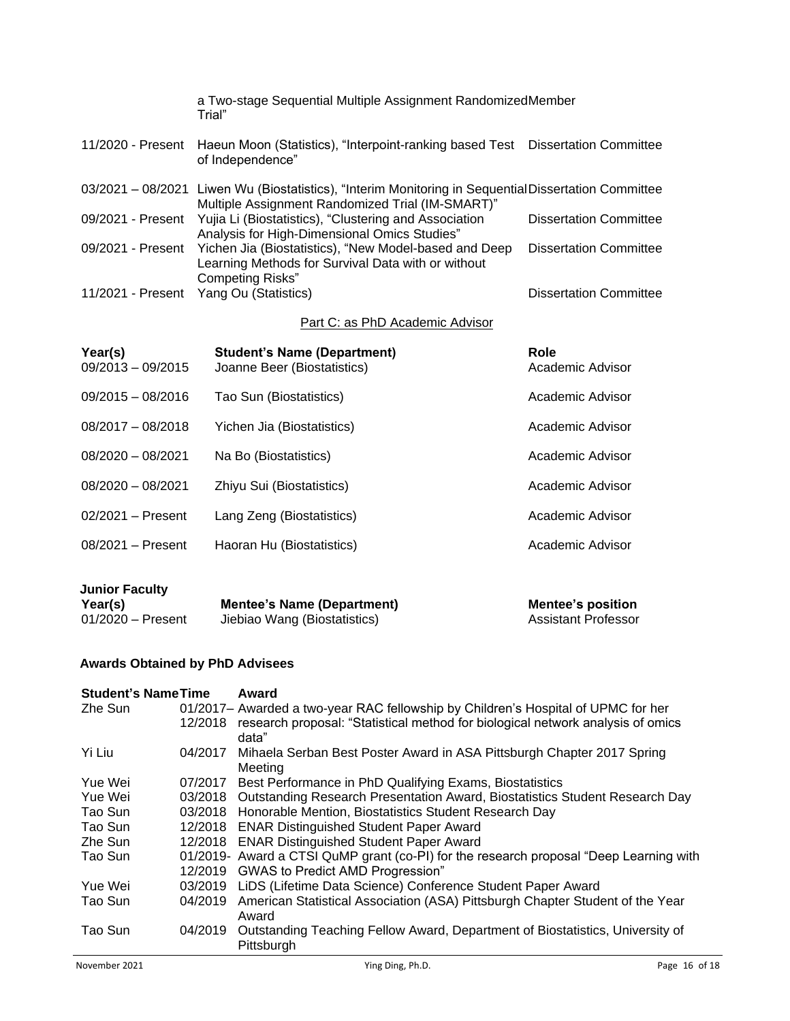|                   | a Two-stage Sequential Multiple Assignment RandomizedMember<br>Trial"                                                                                    |                               |
|-------------------|----------------------------------------------------------------------------------------------------------------------------------------------------------|-------------------------------|
| 11/2020 - Present | Haeun Moon (Statistics), "Interpoint-ranking based Test Dissertation Committee<br>of Independence"                                                       |                               |
|                   | 03/2021 - 08/2021 Liwen Wu (Biostatistics), "Interim Monitoring in Sequential Dissertation Committee<br>Multiple Assignment Randomized Trial (IM-SMART)" |                               |
| 09/2021 - Present | Yujia Li (Biostatistics), "Clustering and Association<br>Analysis for High-Dimensional Omics Studies"                                                    | <b>Dissertation Committee</b> |
| 09/2021 - Present | Yichen Jia (Biostatistics), "New Model-based and Deep<br>Learning Methods for Survival Data with or without<br><b>Competing Risks"</b>                   | <b>Dissertation Committee</b> |
| 11/2021 - Present | Yang Ou (Statistics)                                                                                                                                     | <b>Dissertation Committee</b> |

# Part C: as PhD Academic Advisor

| Year(s)<br>$09/2013 - 09/2015$ | <b>Student's Name (Department)</b><br>Joanne Beer (Biostatistics) | Role<br>Academic Advisor |
|--------------------------------|-------------------------------------------------------------------|--------------------------|
| $09/2015 - 08/2016$            | Tao Sun (Biostatistics)                                           | Academic Advisor         |
| $08/2017 - 08/2018$            | Yichen Jia (Biostatistics)                                        | Academic Advisor         |
| $08/2020 - 08/2021$            | Na Bo (Biostatistics)                                             | Academic Advisor         |
| $08/2020 - 08/2021$            | Zhiyu Sui (Biostatistics)                                         | Academic Advisor         |
| $02/2021 -$ Present            | Lang Zeng (Biostatistics)                                         | Academic Advisor         |
| $08/2021 -$ Present            | Haoran Hu (Biostatistics)                                         | Academic Advisor         |
|                                |                                                                   |                          |

| <b>Junior Faculty</b> |                                   |                          |
|-----------------------|-----------------------------------|--------------------------|
| Year(s)               | <b>Mentee's Name (Department)</b> | <b>Mentee's position</b> |
| $01/2020 -$ Present   | Jiebiao Wang (Biostatistics)      | Assistant Professor      |

# **Awards Obtained by PhD Advisees**

| <b>Student's Name Time</b> |         | Award                                                                                       |               |
|----------------------------|---------|---------------------------------------------------------------------------------------------|---------------|
| Zhe Sun                    |         | 01/2017 – Awarded a two-year RAC fellowship by Children's Hospital of UPMC for her          |               |
|                            | 12/2018 | research proposal: "Statistical method for biological network analysis of omics             |               |
|                            |         | data"                                                                                       |               |
| Yi Liu                     | 04/2017 | Mihaela Serban Best Poster Award in ASA Pittsburgh Chapter 2017 Spring<br>Meeting           |               |
| Yue Wei                    | 07/2017 | Best Performance in PhD Qualifying Exams, Biostatistics                                     |               |
| Yue Wei                    | 03/2018 | Outstanding Research Presentation Award, Biostatistics Student Research Day                 |               |
| Tao Sun                    |         | 03/2018 Honorable Mention, Biostatistics Student Research Day                               |               |
| Tao Sun                    |         | 12/2018 ENAR Distinguished Student Paper Award                                              |               |
| Zhe Sun                    | 12/2018 | <b>ENAR Distinguished Student Paper Award</b>                                               |               |
| Tao Sun                    |         | 01/2019- Award a CTSI QuMP grant (co-PI) for the research proposal "Deep Learning with      |               |
|                            | 12/2019 | <b>GWAS to Predict AMD Progression"</b>                                                     |               |
| Yue Wei                    | 03/2019 | LiDS (Lifetime Data Science) Conference Student Paper Award                                 |               |
| Tao Sun                    | 04/2019 | American Statistical Association (ASA) Pittsburgh Chapter Student of the Year<br>Award      |               |
| Tao Sun                    | 04/2019 | Outstanding Teaching Fellow Award, Department of Biostatistics, University of<br>Pittsburgh |               |
| November 2021              |         | Ying Ding, Ph.D.                                                                            | Page 16 of 18 |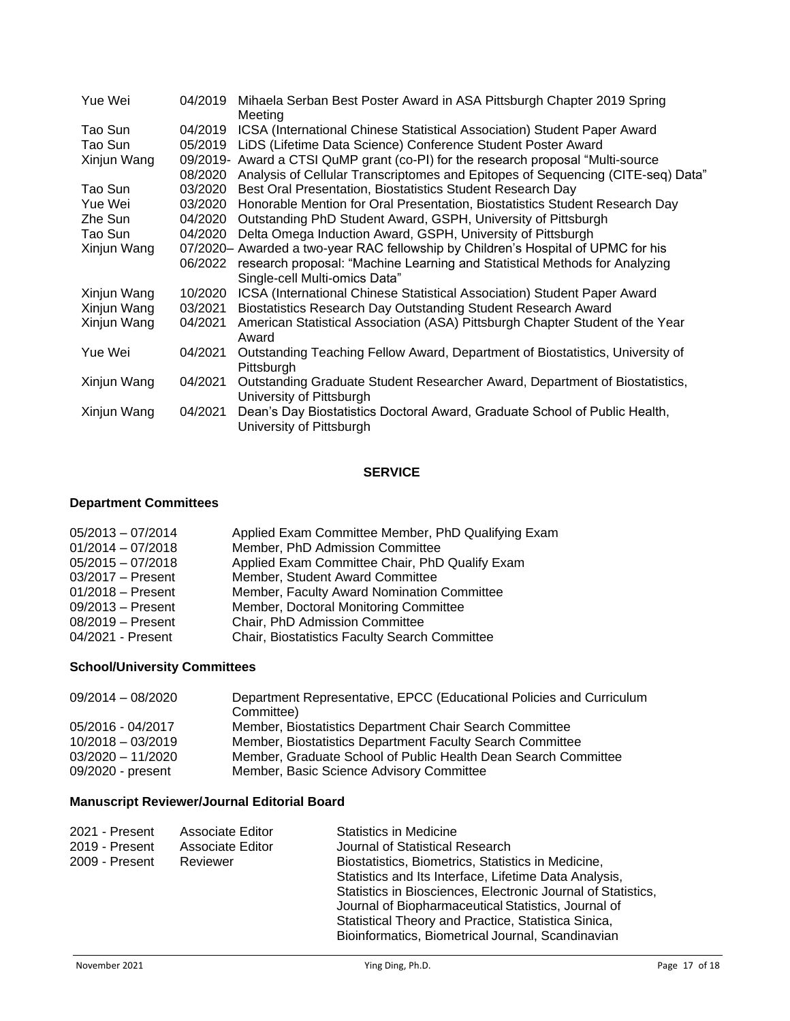| Yue Wei     | 04/2019 | Mihaela Serban Best Poster Award in ASA Pittsburgh Chapter 2019 Spring<br>Meeting                       |
|-------------|---------|---------------------------------------------------------------------------------------------------------|
| Tao Sun     | 04/2019 | ICSA (International Chinese Statistical Association) Student Paper Award                                |
| Tao Sun     | 05/2019 | LiDS (Lifetime Data Science) Conference Student Poster Award                                            |
| Xinjun Wang |         | 09/2019- Award a CTSI QuMP grant (co-PI) for the research proposal "Multi-source                        |
|             | 08/2020 | Analysis of Cellular Transcriptomes and Epitopes of Sequencing (CITE-seq) Data"                         |
| Tao Sun     | 03/2020 | Best Oral Presentation, Biostatistics Student Research Day                                              |
| Yue Wei     | 03/2020 | Honorable Mention for Oral Presentation, Biostatistics Student Research Day                             |
| Zhe Sun     | 04/2020 | Outstanding PhD Student Award, GSPH, University of Pittsburgh                                           |
| Tao Sun     | 04/2020 | Delta Omega Induction Award, GSPH, University of Pittsburgh                                             |
| Xinjun Wang |         | 07/2020- Awarded a two-year RAC fellowship by Children's Hospital of UPMC for his                       |
|             | 06/2022 | research proposal: "Machine Learning and Statistical Methods for Analyzing                              |
|             |         | Single-cell Multi-omics Data"                                                                           |
| Xinjun Wang | 10/2020 | ICSA (International Chinese Statistical Association) Student Paper Award                                |
| Xinjun Wang | 03/2021 | Biostatistics Research Day Outstanding Student Research Award                                           |
| Xinjun Wang | 04/2021 | American Statistical Association (ASA) Pittsburgh Chapter Student of the Year<br>Award                  |
| Yue Wei     | 04/2021 | Outstanding Teaching Fellow Award, Department of Biostatistics, University of<br>Pittsburgh             |
| Xinjun Wang | 04/2021 | Outstanding Graduate Student Researcher Award, Department of Biostatistics,<br>University of Pittsburgh |
| Xinjun Wang | 04/2021 | Dean's Day Biostatistics Doctoral Award, Graduate School of Public Health,<br>University of Pittsburgh  |

## **SERVICE**

# **Department Committees**

| $05/2013 - 07/2014$ | Applied Exam Committee Member, PhD Qualifying Exam |
|---------------------|----------------------------------------------------|
| $01/2014 - 07/2018$ | Member, PhD Admission Committee                    |
| $05/2015 - 07/2018$ | Applied Exam Committee Chair, PhD Qualify Exam     |
| 03/2017 - Present   | Member, Student Award Committee                    |
| $01/2018$ – Present | Member, Faculty Award Nomination Committee         |
| $09/2013 -$ Present | Member, Doctoral Monitoring Committee              |
| 08/2019 - Present   | Chair, PhD Admission Committee                     |
| 04/2021 - Present   | Chair, Biostatistics Faculty Search Committee      |

# **School/University Committees**

| $09/2014 - 08/2020$ | Department Representative, EPCC (Educational Policies and Curriculum<br>Committee) |
|---------------------|------------------------------------------------------------------------------------|
| 05/2016 - 04/2017   | Member, Biostatistics Department Chair Search Committee                            |
| $10/2018 - 03/2019$ | Member, Biostatistics Department Faculty Search Committee                          |
| $03/2020 - 11/2020$ | Member, Graduate School of Public Health Dean Search Committee                     |
| 09/2020 - present   | Member, Basic Science Advisory Committee                                           |

# **Manuscript Reviewer/Journal Editorial Board**

| 2021 - Present | Associate Editor | <b>Statistics in Medicine</b>                                                                                                                                                                                                   |
|----------------|------------------|---------------------------------------------------------------------------------------------------------------------------------------------------------------------------------------------------------------------------------|
| 2019 - Present | Associate Editor | Journal of Statistical Research                                                                                                                                                                                                 |
| 2009 - Present | Reviewer         | Biostatistics, Biometrics, Statistics in Medicine,                                                                                                                                                                              |
|                |                  | Statistics and Its Interface, Lifetime Data Analysis,                                                                                                                                                                           |
|                |                  | Statistics in Biosciences, Electronic Journal of Statistics,<br>Journal of Biopharmaceutical Statistics, Journal of<br>Statistical Theory and Practice, Statistica Sinica,<br>Bioinformatics, Biometrical Journal, Scandinavian |